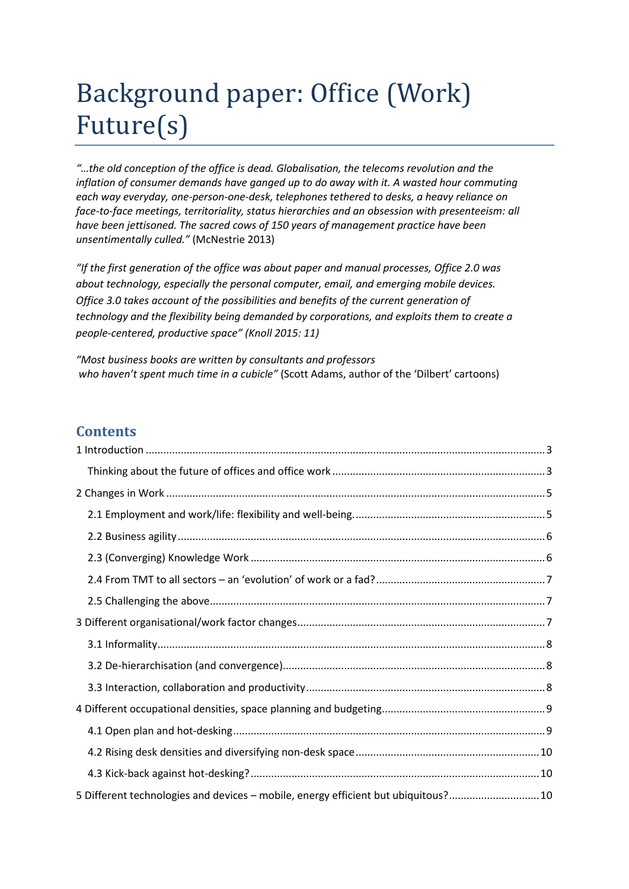# Background paper: Office (Work) Future(s)

*"…the old conception of the office is dead. Globalisation, the telecoms revolution and the inflation of consumer demands have ganged up to do away with it. A wasted hour commuting each way everyday, one-person-one-desk, telephones tethered to desks, a heavy reliance on face-to-face meetings, territoriality, status hierarchies and an obsession with presenteeism: all have been jettisoned. The sacred cows of 150 years of management practice have been unsentimentally culled."* (McNestrie 2013)

*"If the first generation of the office was about paper and manual processes, Office 2.0 was about technology, especially the personal computer, email, and emerging mobile devices. Office 3.0 takes account of the possibilities and benefits of the current generation of technology and the flexibility being demanded by corporations, and exploits them to create a people-centered, productive space" (Knoll 2015: 11)*

*"Most business books are written by consultants and professors who haven't spent much time in a cubicle"* (Scott Adams, author of the 'Dilbert' cartoons)

# **Contents**

| 5 Different technologies and devices - mobile, energy efficient but ubiquitous? 10 |
|------------------------------------------------------------------------------------|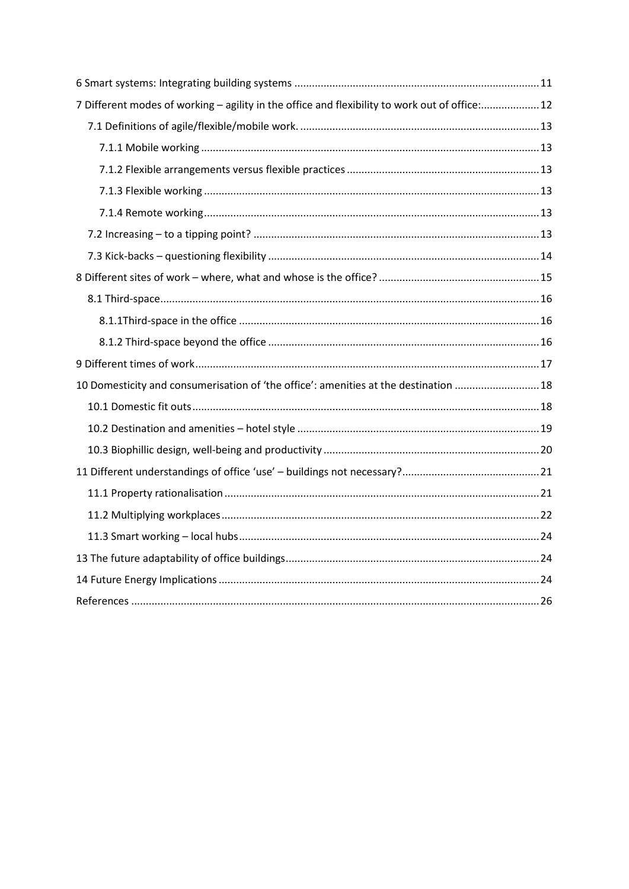| 7 Different modes of working - agility in the office and flexibility to work out of office: 12 |  |
|------------------------------------------------------------------------------------------------|--|
|                                                                                                |  |
|                                                                                                |  |
|                                                                                                |  |
|                                                                                                |  |
|                                                                                                |  |
|                                                                                                |  |
|                                                                                                |  |
|                                                                                                |  |
|                                                                                                |  |
|                                                                                                |  |
|                                                                                                |  |
|                                                                                                |  |
| 10 Domesticity and consumerisation of 'the office': amenities at the destination 18            |  |
|                                                                                                |  |
|                                                                                                |  |
|                                                                                                |  |
|                                                                                                |  |
|                                                                                                |  |
|                                                                                                |  |
|                                                                                                |  |
|                                                                                                |  |
|                                                                                                |  |
|                                                                                                |  |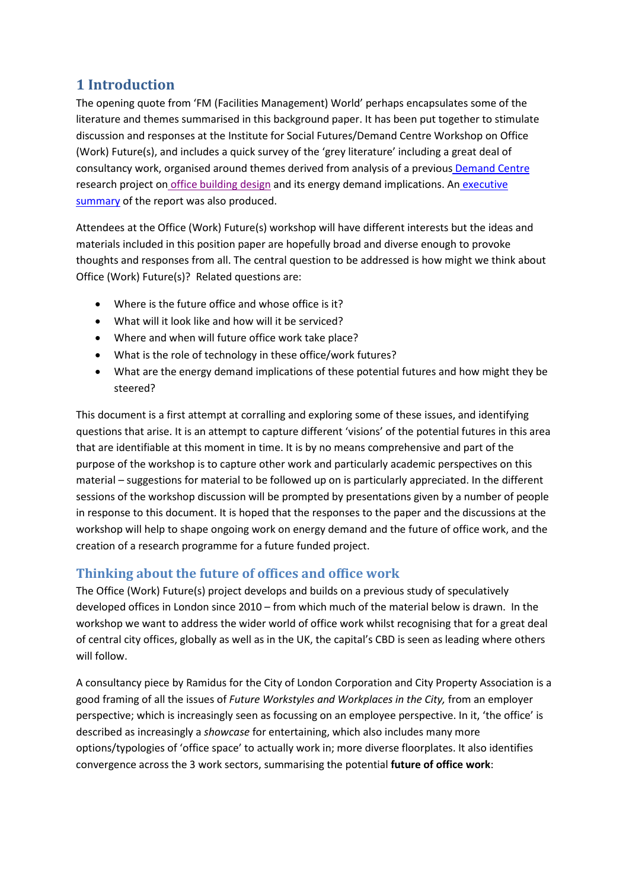# <span id="page-2-0"></span>**1 Introduction**

The opening quote from 'FM (Facilities Management) World' perhaps encapsulates some of the literature and themes summarised in this background paper. It has been put together to stimulate discussion and responses at the Institute for Social Futures/Demand Centre Workshop on Office (Work) Future(s), and includes a quick survey of the 'grey literature' including a great deal of consultancy work, organised around themes derived from analysis of a previous [Demand Centre](http://www.demand.ac.uk/) research project on [office building design](http://www.demand.ac.uk/situations-sites-sectors/#offices) and its energy demand implications. An [executive](http://www.demand.ac.uk/wp-content/uploads/2016/06/Demand-report-executive-summary.pdf)  [summary](http://www.demand.ac.uk/wp-content/uploads/2016/06/Demand-report-executive-summary.pdf) of the report was also produced.

Attendees at the Office (Work) Future(s) workshop will have different interests but the ideas and materials included in this position paper are hopefully broad and diverse enough to provoke thoughts and responses from all. The central question to be addressed is how might we think about Office (Work) Future(s)? Related questions are:

- Where is the future office and whose office is it?
- What will it look like and how will it be serviced?
- Where and when will future office work take place?
- What is the role of technology in these office/work futures?
- What are the energy demand implications of these potential futures and how might they be steered?

This document is a first attempt at corralling and exploring some of these issues, and identifying questions that arise. It is an attempt to capture different 'visions' of the potential futures in this area that are identifiable at this moment in time. It is by no means comprehensive and part of the purpose of the workshop is to capture other work and particularly academic perspectives on this material – suggestions for material to be followed up on is particularly appreciated. In the different sessions of the workshop discussion will be prompted by presentations given by a number of people in response to this document. It is hoped that the responses to the paper and the discussions at the workshop will help to shape ongoing work on energy demand and the future of office work, and the creation of a research programme for a future funded project.

# <span id="page-2-1"></span>**Thinking about the future of offices and office work**

The Office (Work) Future(s) project develops and builds on a previous study of speculatively developed offices in London since 2010 – from which much of the material below is drawn. In the workshop we want to address the wider world of office work whilst recognising that for a great deal of central city offices, globally as well as in the UK, the capital's CBD is seen as leading where others will follow.

A consultancy piece by Ramidus for the City of London Corporation and City Property Association is a good framing of all the issues of *Future Workstyles and Workplaces in the City,* from an employer perspective; which is increasingly seen as focussing on an employee perspective. In it, 'the office' is described as increasingly a *showcase* for entertaining, which also includes many more options/typologies of 'office space' to actually work in; more diverse floorplates. It also identifies convergence across the 3 work sectors, summarising the potential **future of office work**: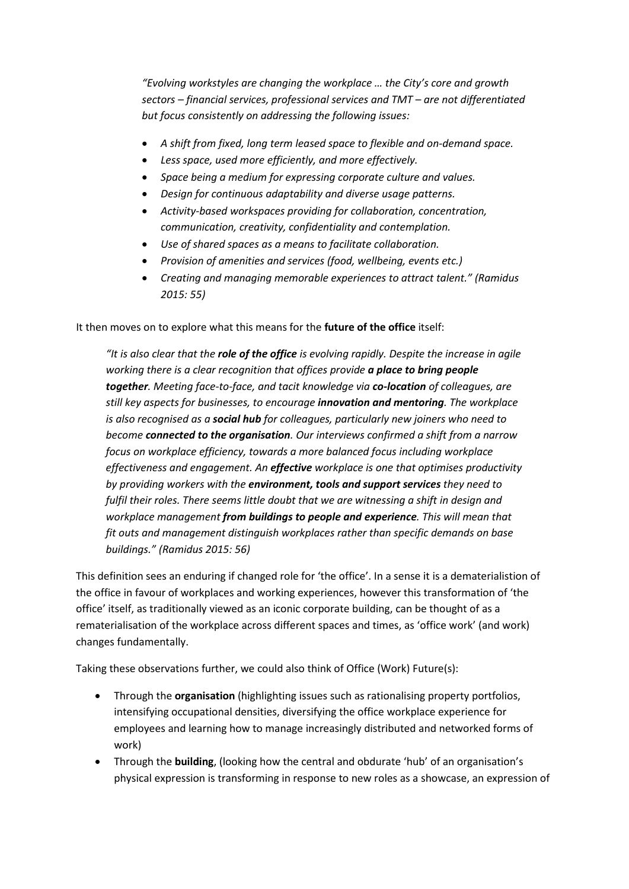*"Evolving workstyles are changing the workplace … the City's core and growth sectors – financial services, professional services and TMT – are not differentiated but focus consistently on addressing the following issues:*

- *A shift from fixed, long term leased space to flexible and on-demand space.*
- *Less space, used more efficiently, and more effectively.*
- *Space being a medium for expressing corporate culture and values.*
- *Design for continuous adaptability and diverse usage patterns.*
- *Activity-based workspaces providing for collaboration, concentration, communication, creativity, confidentiality and contemplation.*
- *Use of shared spaces as a means to facilitate collaboration.*
- *Provision of amenities and services (food, wellbeing, events etc.)*
- *Creating and managing memorable experiences to attract talent." (Ramidus 2015: 55)*

#### It then moves on to explore what this means for the **future of the office** itself:

*"It is also clear that the role of the office is evolving rapidly. Despite the increase in agile working there is a clear recognition that offices provide a place to bring people together. Meeting face-to-face, and tacit knowledge via co-location of colleagues, are still key aspects for businesses, to encourage innovation and mentoring. The workplace is also recognised as a social hub for colleagues, particularly new joiners who need to become connected to the organisation. Our interviews confirmed a shift from a narrow focus on workplace efficiency, towards a more balanced focus including workplace effectiveness and engagement. An effective workplace is one that optimises productivity by providing workers with the environment, tools and support services they need to fulfil their roles. There seems little doubt that we are witnessing a shift in design and workplace management from buildings to people and experience. This will mean that fit outs and management distinguish workplaces rather than specific demands on base buildings." (Ramidus 2015: 56)*

This definition sees an enduring if changed role for 'the office'. In a sense it is a dematerialistion of the office in favour of workplaces and working experiences, however this transformation of 'the office' itself, as traditionally viewed as an iconic corporate building, can be thought of as a rematerialisation of the workplace across different spaces and times, as 'office work' (and work) changes fundamentally.

Taking these observations further, we could also think of Office (Work) Future(s):

- Through the **organisation** (highlighting issues such as rationalising property portfolios, intensifying occupational densities, diversifying the office workplace experience for employees and learning how to manage increasingly distributed and networked forms of work)
- Through the **building**, (looking how the central and obdurate 'hub' of an organisation's physical expression is transforming in response to new roles as a showcase, an expression of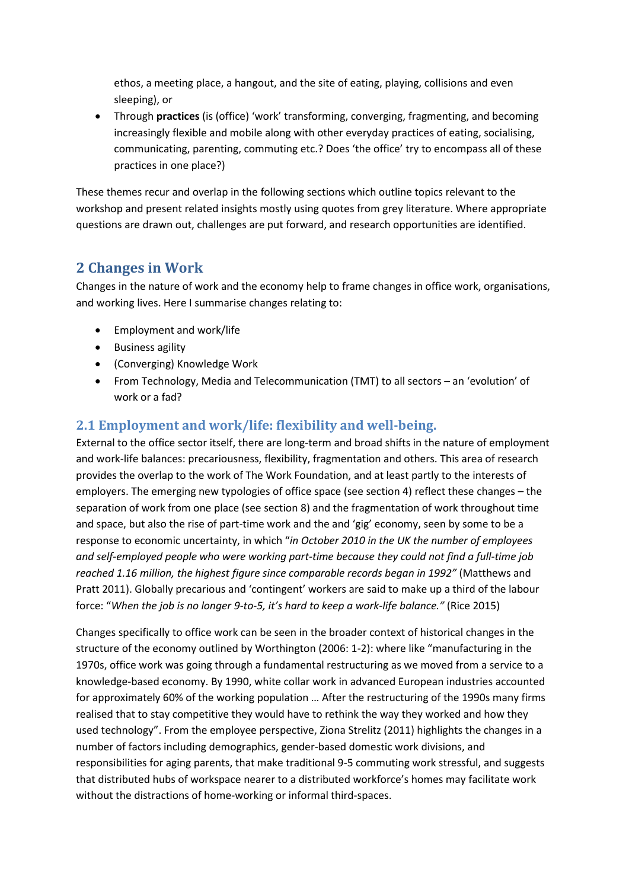ethos, a meeting place, a hangout, and the site of eating, playing, collisions and even sleeping), or

• Through **practices** (is (office) 'work' transforming, converging, fragmenting, and becoming increasingly flexible and mobile along with other everyday practices of eating, socialising, communicating, parenting, commuting etc.? Does 'the office' try to encompass all of these practices in one place?)

These themes recur and overlap in the following sections which outline topics relevant to the workshop and present related insights mostly using quotes from grey literature. Where appropriate questions are drawn out, challenges are put forward, and research opportunities are identified.

# <span id="page-4-0"></span>**2 Changes in Work**

Changes in the nature of work and the economy help to frame changes in office work, organisations, and working lives. Here I summarise changes relating to:

- Employment and work/life
- Business agility
- (Converging) Knowledge Work
- From Technology, Media and Telecommunication (TMT) to all sectors an 'evolution' of work or a fad?

# <span id="page-4-1"></span>**2.1 Employment and work/life: flexibility and well-being.**

External to the office sector itself, there are long-term and broad shifts in the nature of employment and work-life balances: precariousness, flexibility, fragmentation and others. This area of research provides the overlap to the work of The Work Foundation, and at least partly to the interests of employers. The emerging new typologies of office space (see section 4) reflect these changes – the separation of work from one place (see section 8) and the fragmentation of work throughout time and space, but also the rise of part-time work and the and 'gig' economy, seen by some to be a response to economic uncertainty, in which "*in October 2010 in the UK the number of employees and self-employed people who were working part-time because they could not find a full-time job reached 1.16 million, the highest figure since comparable records began in 1992"* [\(Matthews](http://www.emergentresearch.co.uk/wp-content/uploads/2011/01/EmergentThinkingIssue1.pdf) and Pratt 2011). Globally precarious and 'contingent' workers are said to make up a third of the labour force: "*When the job is no longer 9-to-5, it's hard to keep a work-life balance."* (Rice 2015)

Changes specifically to office work can be seen in the broader context of historical changes in the structure of the economy outlined by Worthington (2006: 1-2): where like "manufacturing in the 1970s, office work was going through a fundamental restructuring as we moved from a service to a knowledge-based economy. By 1990, white collar work in advanced European industries accounted for approximately 60% of the working population … After the restructuring of the 1990s many firms realised that to stay competitive they would have to rethink the way they worked and how they used technology". From the employee perspective, Ziona Strelitz (2011) highlights the changes in a number of factors including demographics, gender-based domestic work divisions, and responsibilities for aging parents, that make traditional 9-5 commuting work stressful, and suggests that distributed hubs of workspace nearer to a distributed workforce's homes may facilitate work without the distractions of home-working or informal third-spaces.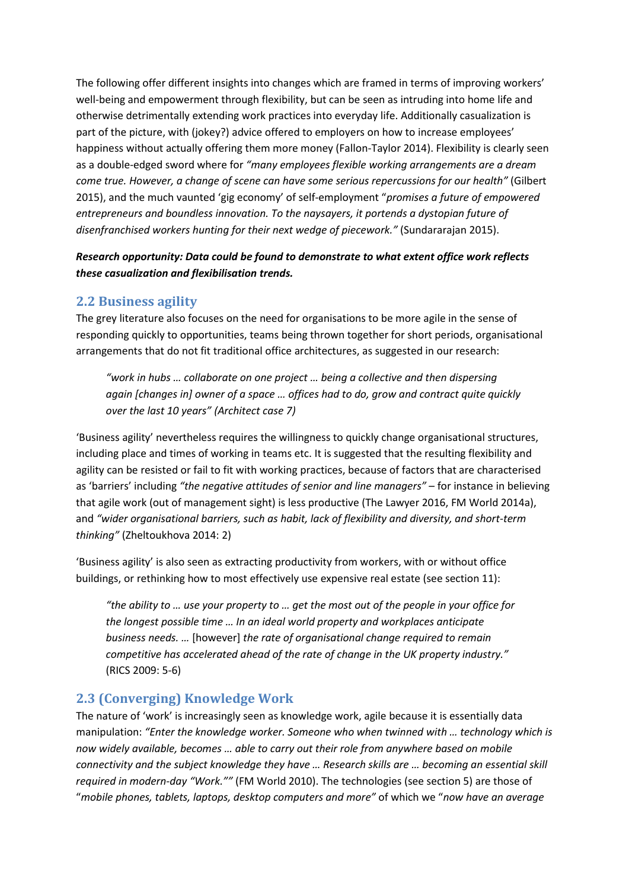The following offer different insights into changes which are framed in terms of improving workers' well-being and empowerment through flexibility, but can be seen as intruding into home life and otherwise detrimentally extending work practices into everyday life. Additionally casualization is part of the picture, with (jokey?) advice offered to employers on how to increase employees' happiness without actually offering them more money (Fallon-Taylor 2014). Flexibility is clearly seen as a double-edged sword where for *"many employees flexible working arrangements are a dream come true. However, a change of scene can have some serious repercussions for our health"* (Gilbert 2015), and the much vaunted 'gig economy' of self-employment "*promises a future of empowered entrepreneurs and boundless innovation. To the naysayers, it portends a dystopian future of disenfranchised workers hunting for their next wedge of piecework."* (Sundararajan 2015).

## *Research opportunity: Data could be found to demonstrate to what extent office work reflects these casualization and flexibilisation trends.*

# <span id="page-5-0"></span>**2.2 Business agility**

The grey literature also focuses on the need for organisations to be more agile in the sense of responding quickly to opportunities, teams being thrown together for short periods, organisational arrangements that do not fit traditional office architectures, as suggested in our research:

*"work in hubs … collaborate on one project … being a collective and then dispersing again [changes in] owner of a space … offices had to do, grow and contract quite quickly over the last 10 years" (Architect case 7)*

'Business agility' nevertheless requires the willingness to quickly change organisational structures, including place and times of working in teams etc. It is suggested that the resulting flexibility and agility can be resisted or fail to fit with working practices, because of factors that are characterised as 'barriers' including *"the negative attitudes of senior and line managers"* – for instance in believing that agile work (out of management sight) is less productive (The Lawyer 2016, FM World 2014a), and *"wider organisational barriers, such as habit, lack of flexibility and diversity, and short-term thinking"* (Zheltoukhova 2014: 2)

'Business agility' is also seen as extracting productivity from workers, with or without office buildings, or rethinking how to most effectively use expensive real estate (see section 11):

*"the ability to … use your property to … get the most out of the people in your office for the longest possible time … In an ideal world property and workplaces anticipate business needs. …* [however] *the rate of organisational change required to remain competitive has accelerated ahead of the rate of change in the UK property industry."*  (RICS 2009: 5-6)

# <span id="page-5-1"></span>**2.3 (Converging) Knowledge Work**

The nature of 'work' is increasingly seen as knowledge work, agile because it is essentially data manipulation: *"Enter the knowledge worker. Someone who when twinned with … technology which is now widely available, becomes … able to carry out their role from anywhere based on mobile connectivity and the subject knowledge they have … Research skills are … becoming an essential skill required in modern-day "Work.""* (FM World 2010). The technologies (see section 5) are those of "*mobile phones, tablets, laptops, desktop computers and more"* of which we "*now have an average*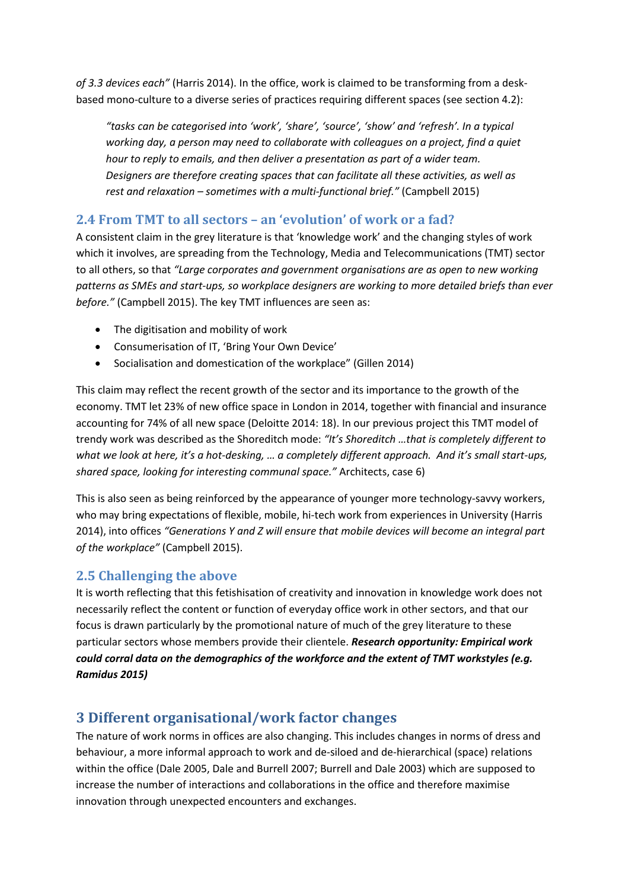*of 3.3 devices each"* (Harris 2014). In the office, work is claimed to be transforming from a deskbased mono-culture to a diverse series of practices requiring different spaces (see section 4.2):

*"tasks can be categorised into 'work', 'share', 'source', 'show' and 'refresh'. In a typical working day, a person may need to collaborate with colleagues on a project, find a quiet hour to reply to emails, and then deliver a presentation as part of a wider team. Designers are therefore creating spaces that can facilitate all these activities, as well as rest and relaxation – sometimes with a multi-functional brief."* (Campbell 2015)

# <span id="page-6-0"></span>**2.4 From TMT to all sectors – an 'evolution' of work or a fad?**

A consistent claim in the grey literature is that 'knowledge work' and the changing styles of work which it involves, are spreading from the Technology, Media and Telecommunications (TMT) sector to all others, so that *"Large corporates and government organisations are as open to new working patterns as SMEs and start-ups, so workplace designers are working to more detailed briefs than ever before."* (Campbell 2015). The key TMT influences are seen as:

- The digitisation and mobility of work
- Consumerisation of IT, 'Bring Your Own Device'
- Socialisation and domestication of the workplace" (Gillen 2014)

This claim may reflect the recent growth of the sector and its importance to the growth of the economy. TMT let 23% of new office space in London in 2014, together with financial and insurance accounting for 74% of all new space (Deloitte 2014: 18). In our previous project this TMT model of trendy work was described as the Shoreditch mode: *"It's Shoreditch …that is completely different to what we look at here, it's a hot-desking, … a completely different approach. And it's small start-ups, shared space, looking for interesting communal space."* Architects, case 6)

This is also seen as being reinforced by the appearance of younger more technology-savvy workers, who may bring expectations of flexible, mobile, hi-tech work from experiences in University (Harris 2014), into offices *"Generations Y and Z will ensure that mobile devices will become an integral part of the workplace"* (Campbell 2015).

### <span id="page-6-1"></span>**2.5 Challenging the above**

It is worth reflecting that this fetishisation of creativity and innovation in knowledge work does not necessarily reflect the content or function of everyday office work in other sectors, and that our focus is drawn particularly by the promotional nature of much of the grey literature to these particular sectors whose members provide their clientele. *Research opportunity: Empirical work could corral data on the demographics of the workforce and the extent of TMT workstyles (e.g. Ramidus 2015)*

# <span id="page-6-2"></span>**3 Different organisational/work factor changes**

The nature of work norms in offices are also changing. This includes changes in norms of dress and behaviour, a more informal approach to work and de-siloed and de-hierarchical (space) relations within the office (Dale 2005, Dale and Burrell 2007; Burrell and Dale 2003) which are supposed to increase the number of interactions and collaborations in the office and therefore maximise innovation through unexpected encounters and exchanges.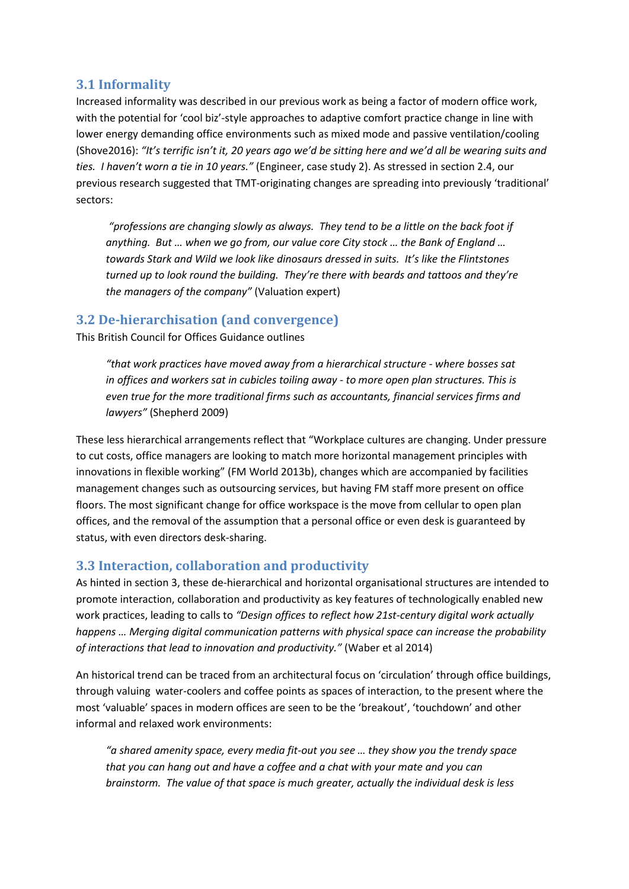## <span id="page-7-0"></span>**3.1 Informality**

Increased informality was described in our previous work as being a factor of modern office work, with the potential for 'cool biz'-style approaches to adaptive comfort practice change in line with lower energy demanding office environments such as mixed mode and passive ventilation/cooling (Shove2016): *"It's terrific isn't it, 20 years ago we'd be sitting here and we'd all be wearing suits and ties. I haven't worn a tie in 10 years."* (Engineer, case study 2). As stressed in section 2.4, our previous research suggested that TMT-originating changes are spreading into previously 'traditional' sectors:

*"professions are changing slowly as always. They tend to be a little on the back foot if anything. But … when we go from, our value core City stock … the Bank of England … towards Stark and Wild we look like dinosaurs dressed in suits. It's like the Flintstones turned up to look round the building. They're there with beards and tattoos and they're the managers of the company"* (Valuation expert)

### <span id="page-7-1"></span>**3.2 De-hierarchisation (and convergence)**

This British Council for Offices Guidance outlines

*"that work practices have moved away from a hierarchical structure - where bosses sat in offices and workers sat in cubicles toiling away - to more open plan structures. This is even true for the more traditional firms such as accountants, financial services firms and lawyers"* (Shepherd 2009)

These less hierarchical arrangements reflect that "Workplace cultures are changing. Under pressure to cut costs, office managers are looking to match more horizontal management principles with innovations in flexible working" (FM World 2013b), changes which are accompanied by facilities management changes such as outsourcing services, but having FM staff more present on office floors. The most significant change for office workspace is the move from cellular to open plan offices, and the removal of the assumption that a personal office or even desk is guaranteed by status, with even directors desk-sharing.

# <span id="page-7-2"></span>**3.3 Interaction, collaboration and productivity**

As hinted in section 3, these de-hierarchical and horizontal organisational structures are intended to promote interaction, collaboration and productivity as key features of technologically enabled new work practices, leading to calls to *"Design offices to reflect how 21st-century digital work actually happens … Merging digital communication patterns with physical space can increase the probability of interactions that lead to innovation and productivity."* (Waber et al 2014)

An historical trend can be traced from an architectural focus on 'circulation' through office buildings, through valuing water-coolers and coffee points as spaces of interaction, to the present where the most 'valuable' spaces in modern offices are seen to be the 'breakout', 'touchdown' and other informal and relaxed work environments:

*"a shared amenity space, every media fit-out you see … they show you the trendy space that you can hang out and have a coffee and a chat with your mate and you can brainstorm. The value of that space is much greater, actually the individual desk is less*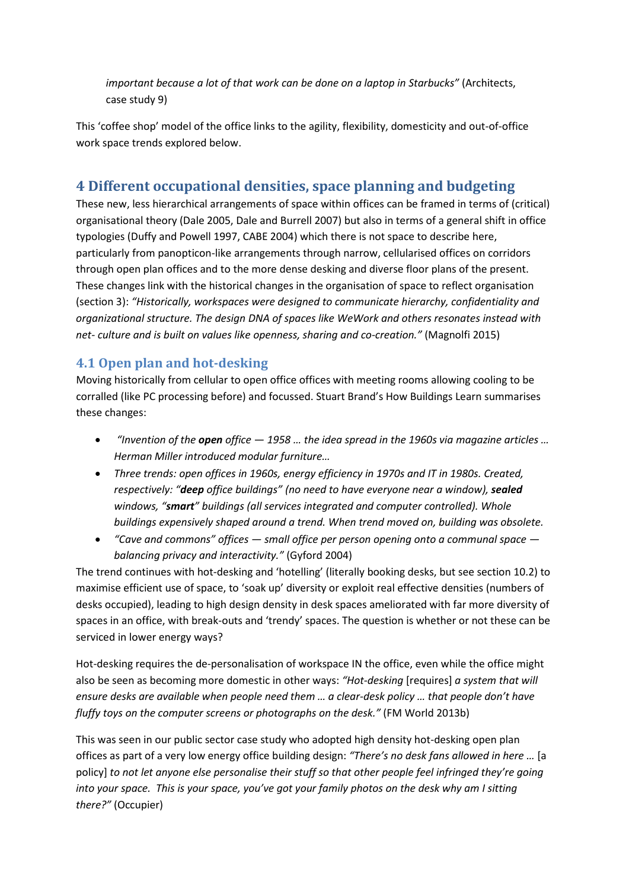*important because a lot of that work can be done on a laptop in Starbucks"* (Architects, case study 9)

This 'coffee shop' model of the office links to the agility, flexibility, domesticity and out-of-office work space trends explored below.

# <span id="page-8-0"></span>**4 Different occupational densities, space planning and budgeting**

These new, less hierarchical arrangements of space within offices can be framed in terms of (critical) organisational theory (Dale 2005, Dale and Burrell 2007) but also in terms of a general shift in office typologies (Duffy and Powell 1997, CABE 2004) which there is not space to describe here, particularly from panopticon-like arrangements through narrow, cellularised offices on corridors through open plan offices and to the more dense desking and diverse floor plans of the present. These changes link with the historical changes in the organisation of space to reflect organisation (section 3): *"Historically, workspaces were designed to communicate hierarchy, confidentiality and organizational structure. The design DNA of spaces like WeWork and others resonates instead with net- culture and is built on values like openness, sharing and co-creation."* (Magnolfi 2015)

# <span id="page-8-1"></span>**4.1 Open plan and hot-desking**

Moving historically from cellular to open office offices with meeting rooms allowing cooling to be corralled (like PC processing before) and focussed. Stuart Brand's How Buildings Learn summarises these changes:

- *"Invention of the open office — 1958 … the idea spread in the 1960s via magazine articles … Herman Miller introduced modular furniture…*
- *Three trends: open offices in 1960s, energy efficiency in 1970s and IT in 1980s. Created, respectively: "deep office buildings" (no need to have everyone near a window), sealed windows, "smart" buildings (all services integrated and computer controlled). Whole buildings expensively shaped around a trend. When trend moved on, building was obsolete.*
- *"Cave and commons" offices — small office per person opening onto a communal space balancing privacy and interactivity."* (Gyford 2004)

The trend continues with hot-desking and 'hotelling' (literally booking desks, but see section 10.2) to maximise efficient use of space, to 'soak up' diversity or exploit real effective densities (numbers of desks occupied), leading to high design density in desk spaces ameliorated with far more diversity of spaces in an office, with break-outs and 'trendy' spaces. The question is whether or not these can be serviced in lower energy ways?

Hot-desking requires the de-personalisation of workspace IN the office, even while the office might also be seen as becoming more domestic in other ways: *"Hot-desking* [requires] *a system that will ensure desks are available when people need them … a clear-desk policy … that people don't have fluffy toys on the computer screens or photographs on the desk."* (FM World 2013b)

This was seen in our public sector case study who adopted high density hot-desking open plan offices as part of a very low energy office building design: *"There's no desk fans allowed in here …* [a policy] *to not let anyone else personalise their stuff so that other people feel infringed they're going into your space. This is your space, you've got your family photos on the desk why am I sitting there?"* (Occupier)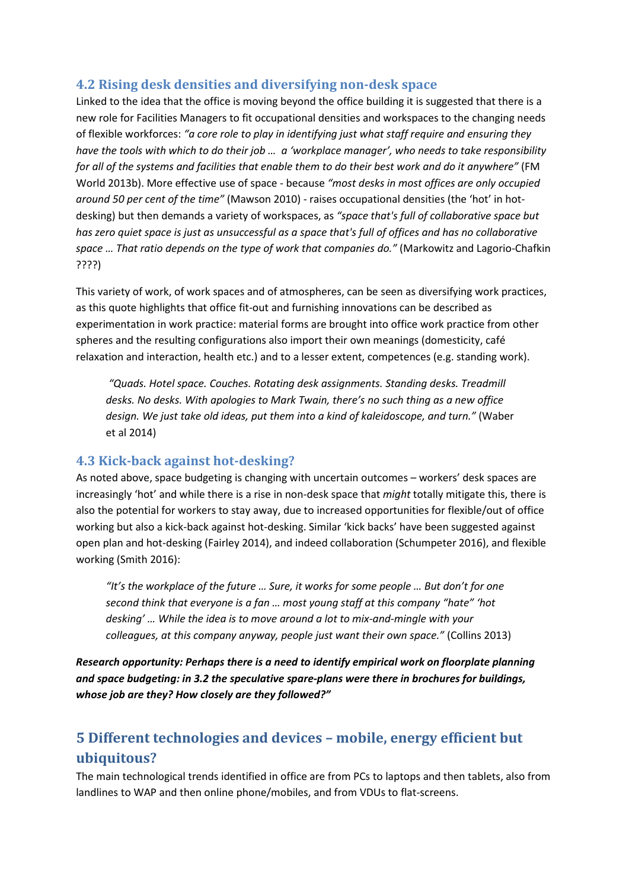# <span id="page-9-0"></span>**4.2 Rising desk densities and diversifying non-desk space**

Linked to the idea that the office is moving beyond the office building it is suggested that there is a new role for Facilities Managers to fit occupational densities and workspaces to the changing needs of flexible workforces: *"a core role to play in identifying just what staff require and ensuring they have the tools with which to do their job … a 'workplace manager', who needs to take responsibility for all of the systems and facilities that enable them to do their best work and do it anywhere"* (FM World 2013b). More effective use of space - because *"most desks in most offices are only occupied around 50 per cent of the time"* (Mawson 2010) *-* raises occupational densities (the 'hot' in hotdesking) but then demands a variety of workspaces, as *"space that's full of collaborative space but has zero quiet space is just as unsuccessful as a space that's full of offices and has no collaborative space … That ratio depends on the type of work that companies do."* (Markowitz and Lagorio-Chafkin ????)

This variety of work, of work spaces and of atmospheres, can be seen as diversifying work practices, as this quote highlights that office fit-out and furnishing innovations can be described as experimentation in work practice: material forms are brought into office work practice from other spheres and the resulting configurations also import their own meanings (domesticity, café relaxation and interaction, health etc.) and to a lesser extent, competences (e.g. standing work).

*"Quads. Hotel space. Couches. Rotating desk assignments. Standing desks. Treadmill desks. No desks. With apologies to Mark Twain, there's no such thing as a new office design. We just take old ideas, put them into a kind of kaleidoscope, and turn."* (Waber et al 2014)

### <span id="page-9-1"></span>**4.3 Kick-back against hot-desking?**

As noted above, space budgeting is changing with uncertain outcomes – workers' desk spaces are increasingly 'hot' and while there is a rise in non-desk space that *might* totally mitigate this, there is also the potential for workers to stay away, due to increased opportunities for flexible/out of office working but also a kick-back against hot-desking. Similar 'kick backs' have been suggested against open plan and hot-desking (Fairley 2014), and indeed collaboration (Schumpeter 2016), and flexible working (Smith 2016):

*"It's the workplace of the future … Sure, it works for some people … But don't for one second think that everyone is a fan … most young staff at this company "hate" 'hot desking' … While the idea is to move around a lot to mix-and-mingle with your colleagues, at this company anyway, people just want their own space."* [\(Collins](http://www.businessinsider.com.au/hot-desking-is-a-big-trend-heres-why-a-lot-of-people-hate-it-2013-4) 2013)

*Research opportunity: Perhaps there is a need to identify empirical work on floorplate planning and space budgeting: in 3.2 the speculative spare-plans were there in brochures for buildings, whose job are they? How closely are they followed?"*

# <span id="page-9-2"></span>**5 Different technologies and devices – mobile, energy efficient but ubiquitous?**

The main technological trends identified in office are from PCs to laptops and then tablets, also from landlines to WAP and then online phone/mobiles, and from VDUs to flat-screens.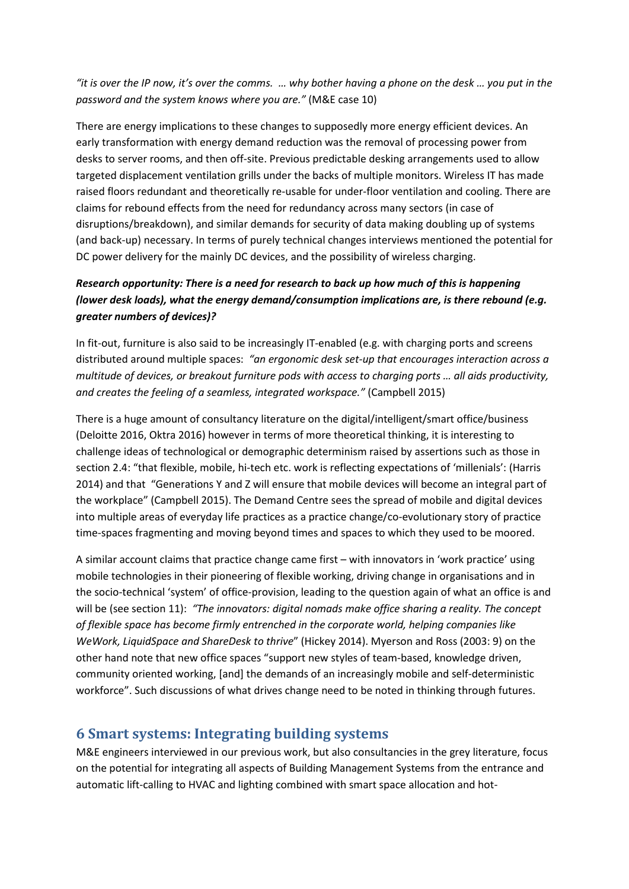*"it is over the IP now, it's over the comms. … why bother having a phone on the desk … you put in the password and the system knows where you are."* (M&E case 10)

There are energy implications to these changes to supposedly more energy efficient devices. An early transformation with energy demand reduction was the removal of processing power from desks to server rooms, and then off-site. Previous predictable desking arrangements used to allow targeted displacement ventilation grills under the backs of multiple monitors. Wireless IT has made raised floors redundant and theoretically re-usable for under-floor ventilation and cooling. There are claims for rebound effects from the need for redundancy across many sectors (in case of disruptions/breakdown), and similar demands for security of data making doubling up of systems (and back-up) necessary. In terms of purely technical changes interviews mentioned the potential for DC power delivery for the mainly DC devices, and the possibility of wireless charging.

## *Research opportunity: There is a need for research to back up how much of this is happening (lower desk loads), what the energy demand/consumption implications are, is there rebound (e.g. greater numbers of devices)?*

In fit-out, furniture is also said to be increasingly IT-enabled (e.g. with charging ports and screens distributed around multiple spaces: *"an ergonomic desk set-up that encourages interaction across a multitude of devices, or breakout furniture pods with access to charging ports … all aids productivity, and creates the feeling of a seamless, integrated workspace."* (Campbell 2015)

There is a huge amount of consultancy literature on the digital/intelligent/smart office/business (Deloitte 2016, Oktra 2016) however in terms of more theoretical thinking, it is interesting to challenge ideas of technological or demographic determinism raised by assertions such as those in section 2.4: "that flexible, mobile, hi-tech etc. work is reflecting expectations of 'millenials': (Harris 2014) and that "Generations Y and Z will ensure that mobile devices will become an integral part of the workplace" (Campbell 2015). The Demand Centre sees the spread of mobile and digital devices into multiple areas of everyday life practices as a practice change/co-evolutionary story of practice time-spaces fragmenting and moving beyond times and spaces to which they used to be moored.

A similar account claims that practice change came first – with innovators in 'work practice' using mobile technologies in their pioneering of flexible working, driving change in organisations and in the socio-technical 'system' of office-provision, leading to the question again of what an office is and will be (see section 11): *"The innovators: digital nomads make office sharing a reality. The concept of flexible space has become firmly entrenched in the corporate world, helping companies like WeWork, LiquidSpace and ShareDesk to thrive*" (Hickey 2014). Myerson and Ross (2003: 9) on the other hand note that new office spaces "support new styles of team-based, knowledge driven, community oriented working, [and] the demands of an increasingly mobile and self-deterministic workforce". Such discussions of what drives change need to be noted in thinking through futures.

# <span id="page-10-0"></span>**6 Smart systems: Integrating building systems**

M&E engineers interviewed in our previous work, but also consultancies in the grey literature, focus on the potential for integrating all aspects of Building Management Systems from the entrance and automatic lift-calling to HVAC and lighting combined with smart space allocation and hot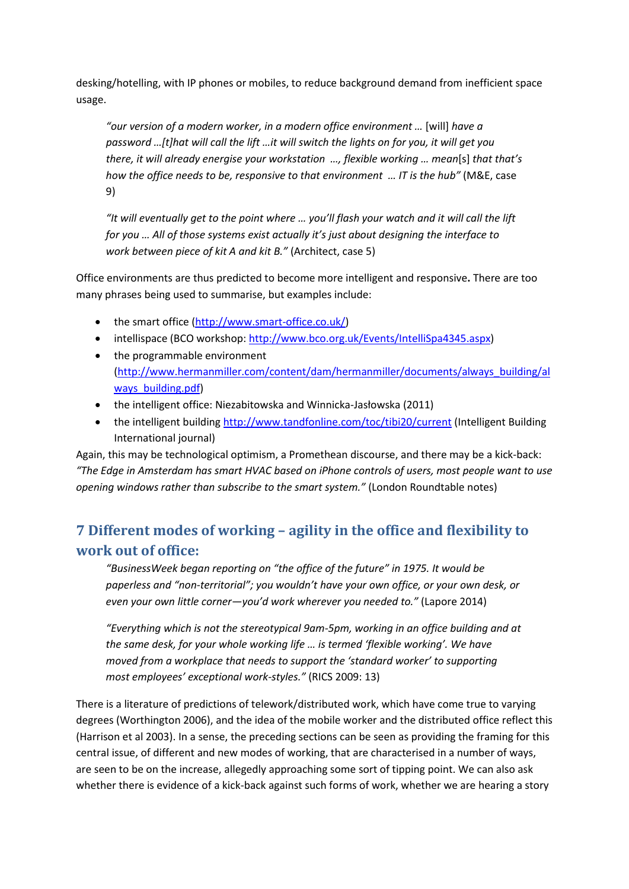desking/hotelling, with IP phones or mobiles, to reduce background demand from inefficient space usage.

*"our version of a modern worker, in a modern office environment …* [will] *have a password …[t]hat will call the lift …it will switch the lights on for you, it will get you there, it will already energise your workstation …, flexible working … mean*[s] *that that's how the office needs to be, responsive to that environment … IT is the hub"* (M&E, case 9)

*"It will eventually get to the point where … you'll flash your watch and it will call the lift for you … All of those systems exist actually it's just about designing the interface to work between piece of kit A and kit B."* (Architect, case 5)

Office environments are thus predicted to become more intelligent and responsive**.** There are too many phrases being used to summarise, but examples include:

- the smart office [\(http://www.smart-office.co.uk/\)](http://www.smart-office.co.uk/)
- intellispace (BCO workshop[: http://www.bco.org.uk/Events/IntelliSpa4345.aspx\)](http://www.bco.org.uk/Events/IntelliSpa4345.aspx)
- the programmable environment [\(http://www.hermanmiller.com/content/dam/hermanmiller/documents/always\\_building/al](http://www.hermanmiller.com/content/dam/hermanmiller/documents/always_building/always_building.pdf) [ways\\_building.pdf\)](http://www.hermanmiller.com/content/dam/hermanmiller/documents/always_building/always_building.pdf)
- the intelligent office: Niezabitowska and Winnicka-Jasłowska (2011)
- the intelligent building<http://www.tandfonline.com/toc/tibi20/current> (Intelligent Building International journal)

Again, this may be technological optimism, a Promethean discourse, and there may be a kick-back: *"The Edge in Amsterdam has smart HVAC based on iPhone controls of users, most people want to use opening windows rather than subscribe to the smart system."* (London Roundtable notes)

# <span id="page-11-0"></span>**7 Different modes of working – agility in the office and flexibility to work out of office:**

*"BusinessWeek began reporting on "the office of the future" in 1975. It would be paperless and "non-territorial"; you wouldn't have your own office, or your own desk, or even your own little corner—you'd work wherever you needed to."* (Lapore 2014)

*"Everything which is not the stereotypical 9am-5pm, working in an office building and at the same desk, for your whole working life … is termed 'flexible working'. We have moved from a workplace that needs to support the 'standard worker' to supporting most employees' exceptional work-styles."* (RICS 2009: 13)

There is a literature of predictions of telework/distributed work, which have come true to varying degrees (Worthington 2006), and the idea of the mobile worker and the distributed office reflect this (Harrison et al 2003). In a sense, the preceding sections can be seen as providing the framing for this central issue, of different and new modes of working, that are characterised in a number of ways, are seen to be on the increase, allegedly approaching some sort of tipping point. We can also ask whether there is evidence of a kick-back against such forms of work, whether we are hearing a story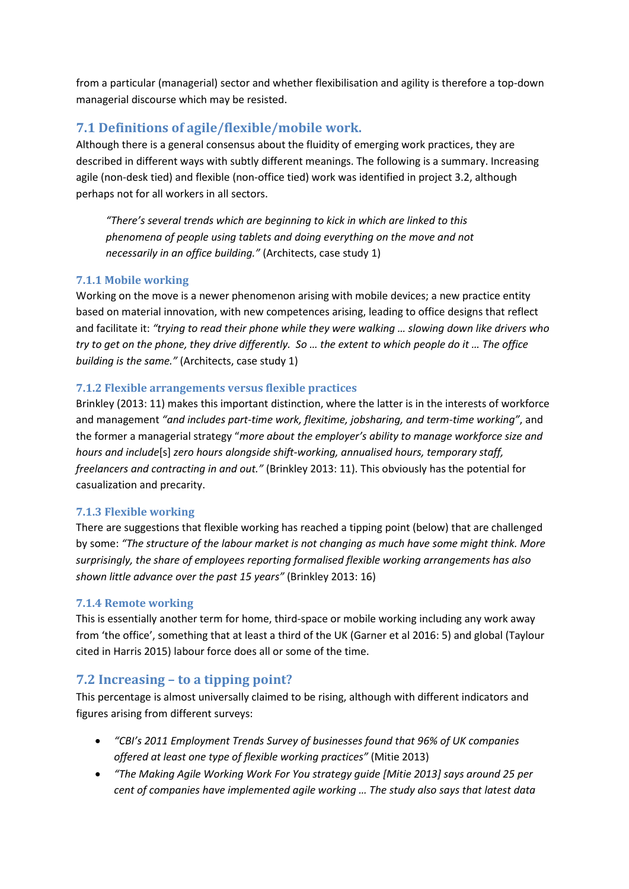from a particular (managerial) sector and whether flexibilisation and agility is therefore a top-down managerial discourse which may be resisted.

# <span id="page-12-0"></span>**7.1 Definitions of agile/flexible/mobile work.**

Although there is a general consensus about the fluidity of emerging work practices, they are described in different ways with subtly different meanings. The following is a summary. Increasing agile (non-desk tied) and flexible (non-office tied) work was identified in project 3.2, although perhaps not for all workers in all sectors.

*"There's several trends which are beginning to kick in which are linked to this phenomena of people using tablets and doing everything on the move and not necessarily in an office building."* (Architects, case study 1)

#### <span id="page-12-1"></span>**7.1.1 Mobile working**

Working on the move is a newer phenomenon arising with mobile devices; a new practice entity based on material innovation, with new competences arising, leading to office designs that reflect and facilitate it: *"trying to read their phone while they were walking … slowing down like drivers who try to get on the phone, they drive differently. So … the extent to which people do it … The office building is the same."* (Architects, case study 1)

#### <span id="page-12-2"></span>**7.1.2 Flexible arrangements versus flexible practices**

Brinkley (2013: 11) makes this important distinction, where the latter is in the interests of workforce and management *"and includes part-time work, flexitime, jobsharing, and term-time working"*, and the former a managerial strategy "*more about the employer's ability to manage workforce size and hours and include*[s] *zero hours alongside shift-working, annualised hours, temporary staff, freelancers and contracting in and out."* (Brinkley 2013: 11). This obviously has the potential for casualization and precarity.

#### <span id="page-12-3"></span>**7.1.3 Flexible working**

There are suggestions that flexible working has reached a tipping point (below) that are challenged by some: *"The structure of the labour market is not changing as much have some might think. More surprisingly, the share of employees reporting formalised flexible working arrangements has also shown little advance over the past 15 years"* (Brinkley 2013: 16)

#### <span id="page-12-4"></span>**7.1.4 Remote working**

This is essentially another term for home, third-space or mobile working including any work away from 'the office', something that at least a third of the UK (Garner et al 2016: 5) and global (Taylour cited in Harris 2015) labour force does all or some of the time.

# <span id="page-12-5"></span>**7.2 Increasing – to a tipping point?**

This percentage is almost universally claimed to be rising, although with different indicators and figures arising from different surveys:

- *"CBI's 2011 Employment Trends Survey of businesses found that 96% of UK companies offered at least one type of flexible working practices"* (Mitie 2013)
- *"The Making Agile Working Work For You strategy guide [Mitie 2013] says around 25 per cent of companies have implemented agile working … The study also says that latest data*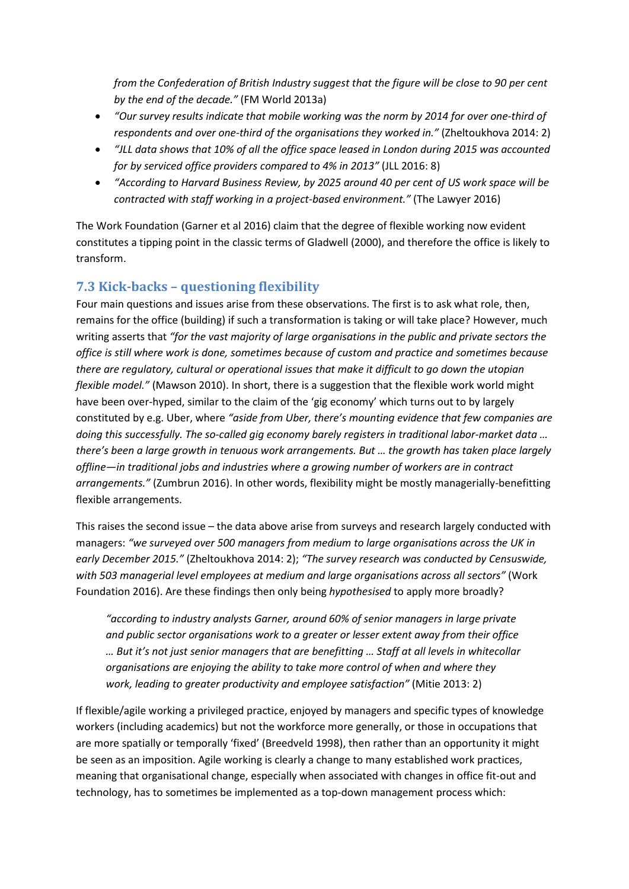*from the Confederation of British Industry suggest that the figure will be close to 90 per cent by the end of the decade."* (FM World 2013a)

- *"Our survey results indicate that mobile working was the norm by 2014 for over one-third of respondents and over one-third of the organisations they worked in."* (Zheltoukhova 2014: 2)
- *"JLL data shows that 10% of all the office space leased in London during 2015 was accounted for by serviced office providers compared to 4% in 2013"* (JLL 2016: 8)
- *"According to Harvard Business Review, by 2025 around 40 per cent of US work space will be contracted with staff working in a project-based environment."* (The Lawyer 2016)

The Work Foundation (Garner et al 2016) claim that the degree of flexible working now evident constitutes a tipping point in the classic terms of Gladwell (2000), and therefore the office is likely to transform.

# <span id="page-13-0"></span>**7.3 Kick-backs – questioning flexibility**

Four main questions and issues arise from these observations. The first is to ask what role, then, remains for the office (building) if such a transformation is taking or will take place? However, much writing asserts that *"for the vast majority of large organisations in the public and private sectors the office is still where work is done, sometimes because of custom and practice and sometimes because there are regulatory, cultural or operational issues that make it difficult to go down the utopian flexible model."* (Mawson 2010). In short, there is a suggestion that the flexible work world might have been over-hyped, similar to the claim of the 'gig economy' which turns out to by largely constituted by e.g. Uber, where *"aside from Uber, there's mounting evidence that few companies are doing this successfully. The so-called [gig economy barely registers](http://www.wsj.com/articles/proof-of-a-gig-economy-revolution-is-hard-to-find-1437932539) in traditional labor-market data … there's been a large growth in tenuous work arrangements. But … the growth has taken place largely offline—in traditional jobs and industries where a growing number of workers are in contract arrangements."* (Zumbrun 2016). In other words, flexibility might be mostly managerially-benefitting flexible arrangements.

This raises the second issue – the data above arise from surveys and research largely conducted with managers: *"we surveyed over 500 managers from medium to large organisations across the UK in early December 2015."* (Zheltoukhova 2014: 2); *"The survey research was conducted by Censuswide, with 503 managerial level employees at medium and large organisations across all sectors"* (Work Foundation 2016). Are these findings then only being *hypothesised* to apply more broadly?

*"according to industry analysts Garner, around 60% of senior managers in large private and public sector organisations work to a greater or lesser extent away from their office … But it's not just senior managers that are benefitting … Staff at all levels in whitecollar organisations are enjoying the ability to take more control of when and where they work, leading to greater productivity and employee satisfaction"* (Mitie 2013: 2)

If flexible/agile working a privileged practice, enjoyed by managers and specific types of knowledge workers (including academics) but not the workforce more generally, or those in occupations that are more spatially or temporally 'fixed' (Breedveld 1998), then rather than an opportunity it might be seen as an imposition. Agile working is clearly a change to many established work practices, meaning that organisational change, especially when associated with changes in office fit-out and technology, has to sometimes be implemented as a top-down management process which: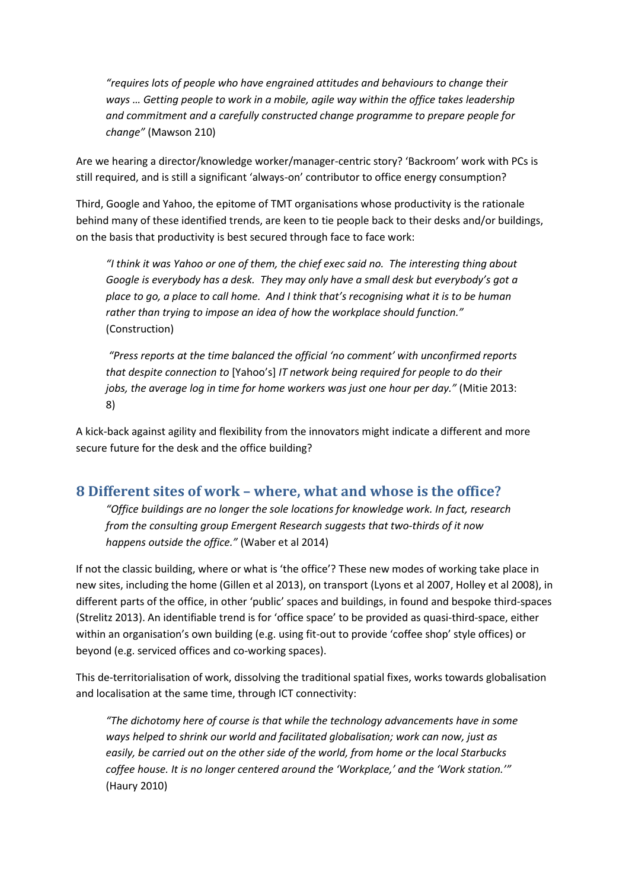*"requires lots of people who have engrained attitudes and behaviours to change their ways … Getting people to work in a mobile, agile way within the office takes leadership and commitment and a carefully constructed change programme to prepare people for change"* (Mawson 210)

Are we hearing a director/knowledge worker/manager-centric story? 'Backroom' work with PCs is still required, and is still a significant 'always-on' contributor to office energy consumption?

Third, Google and Yahoo, the epitome of TMT organisations whose productivity is the rationale behind many of these identified trends, are keen to tie people back to their desks and/or buildings, on the basis that productivity is best secured through face to face work:

*"I think it was Yahoo or one of them, the chief exec said no. The interesting thing about Google is everybody has a desk. They may only have a small desk but everybody's got a place to go, a place to call home. And I think that's recognising what it is to be human rather than trying to impose an idea of how the workplace should function."* (Construction)

*"Press reports at the time balanced the official 'no comment' with unconfirmed reports that despite connection to* [Yahoo's] *IT network being required for people to do their jobs, the average log in time for home workers was just one hour per day."* (Mitie 2013: 8)

A kick-back against agility and flexibility from the innovators might indicate a different and more secure future for the desk and the office building?

# <span id="page-14-0"></span>**8 Different sites of work – where, what and whose is the office?**

*"Office buildings are no longer the sole locations for knowledge work. In fact, research from the consulting group Emergent Research suggests that two-thirds of it now happens outside the office."* (Waber et al 2014)

If not the classic building, where or what is 'the office'? These new modes of working take place in new sites, including the home (Gillen et al 2013), on transport (Lyons et al 2007, Holley et al 2008), in different parts of the office, in other 'public' spaces and buildings, in found and bespoke third-spaces (Strelitz 2013). An identifiable trend is for 'office space' to be provided as quasi-third-space, either within an organisation's own building (e.g. using fit-out to provide 'coffee shop' style offices) or beyond (e.g. serviced offices and co-working spaces).

This de-territorialisation of work, dissolving the traditional spatial fixes, works towards globalisation and localisation at the same time, through ICT connectivity:

*"The dichotomy here of course is that while the technology advancements have in some ways helped to shrink our world and facilitated globalisation; work can now, just as easily, be carried out on the other side of the world, from home or the local Starbucks coffee house. It is no longer centered around the 'Workplace,' and the 'Work station.'"*  (Haury 2010)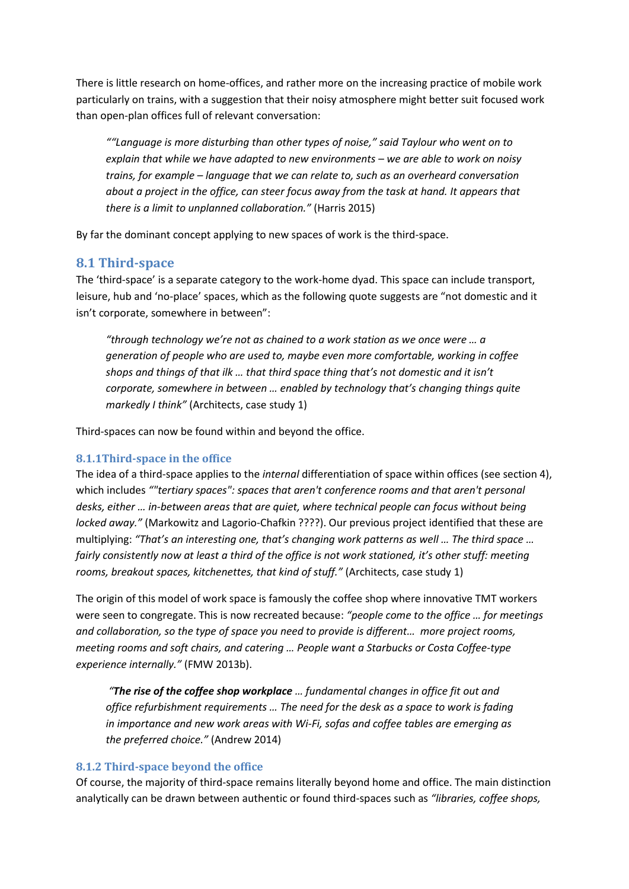There is little research on home-offices, and rather more on the increasing practice of mobile work particularly on trains, with a suggestion that their noisy atmosphere might better suit focused work than open-plan offices full of relevant conversation:

*""Language is more disturbing than other types of noise," said Taylour who went on to explain that while we have adapted to new environments – we are able to work on noisy trains, for example – language that we can relate to, such as an overheard conversation about a project in the office, can steer focus away from the task at hand. It appears that there is a limit to unplanned collaboration."* (Harris 2015)

By far the dominant concept applying to new spaces of work is the third-space.

#### <span id="page-15-0"></span>**8.1 Third-space**

The 'third-space' is a separate category to the work-home dyad. This space can include transport, leisure, hub and 'no-place' spaces, which as the following quote suggests are "not domestic and it isn't corporate, somewhere in between":

*"through technology we're not as chained to a work station as we once were … a generation of people who are used to, maybe even more comfortable, working in coffee shops and things of that ilk … that third space thing that's not domestic and it isn't corporate, somewhere in between … enabled by technology that's changing things quite markedly I think"* (Architects, case study 1)

Third-spaces can now be found within and beyond the office.

#### <span id="page-15-1"></span>**8.1.1Third-space in the office**

The idea of a third-space applies to the *internal* differentiation of space within offices (see section 4), which includes ""tertiary spaces": spaces that aren't conference rooms and that aren't personal *desks, either … in-between areas that are quiet, where technical people can focus without being locked away."* (Markowitz and Lagorio-Chafkin ????). Our previous project identified that these are multiplying: *"That's an interesting one, that's changing work patterns as well … The third space … fairly consistently now at least a third of the office is not work stationed, it's other stuff: meeting rooms, breakout spaces, kitchenettes, that kind of stuff."* (Architects, case study 1)

The origin of this model of work space is famously the coffee shop where innovative TMT workers were seen to congregate. This is now recreated because: *"people come to the office … for meetings and collaboration, so the type of space you need to provide is different… more project rooms, meeting rooms and soft chairs, and catering … People want a Starbucks or Costa Coffee-type experience internally."* (FMW 2013b).

*"The rise of the coffee shop workplace … fundamental changes in office fit out and office refurbishment requirements … The need for the desk as a space to work is fading in importance and new work areas with Wi-Fi, sofas and coffee tables are emerging as the preferred choice."* [\(Andrew](http://www.oktra.co.uk/blog/bco-guide-to-specification-2014-overview/) 2014)

#### <span id="page-15-2"></span>**8.1.2 Third-space beyond the office**

Of course, the majority of third-space remains literally beyond home and office. The main distinction analytically can be drawn between authentic or found third-spaces such as *"libraries, coffee shops,*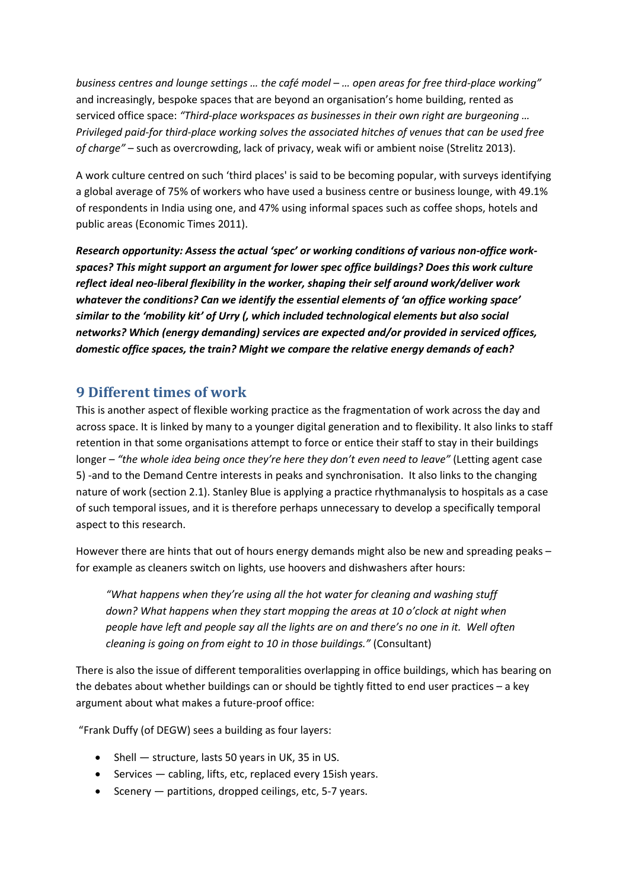*business centres and lounge settings … the café model – … open areas for free third-place working"* and increasingly, bespoke spaces that are beyond an organisation's home building, rented as serviced office space: *"Third-place workspaces as businesses in their own right are burgeoning … Privileged paid-for third-place working solves the associated hitches of venues that can be used free of charge"* – such as overcrowding, lack of privacy, weak wifi or ambient noise (Strelitz 2013).

A work culture centred on such 'third places' is said to be becoming popular, with surveys identifying a global average of 75% of workers who have used a business centre or business lounge, with 49.1% of respondents in India using one, and 47% using informal spaces such as coffee shops, hotels and public areas (Economic Times 2011).

*Research opportunity: Assess the actual 'spec' or working conditions of various non-office workspaces? This might support an argument for lower spec office buildings? Does this work culture reflect ideal neo-liberal flexibility in the worker, shaping their self around work/deliver work whatever the conditions? Can we identify the essential elements of 'an office working space' similar to the 'mobility kit' of Urry (, which included technological elements but also social networks? Which (energy demanding) services are expected and/or provided in serviced offices, domestic office spaces, the train? Might we compare the relative energy demands of each?*

# <span id="page-16-0"></span>**9 Different times of work**

This is another aspect of flexible working practice as the fragmentation of work across the day and across space. It is linked by many to a younger digital generation and to flexibility. It also links to staff retention in that some organisations attempt to force or entice their staff to stay in their buildings longer – *"the whole idea being once they're here they don't even need to leave"* (Letting agent case 5) -and to the Demand Centre interests in peaks and synchronisation. It also links to the changing nature of work (section 2.1). Stanley Blue is applying a practice rhythmanalysis to hospitals as a case of such temporal issues, and it is therefore perhaps unnecessary to develop a specifically temporal aspect to this research.

However there are hints that out of hours energy demands might also be new and spreading peaks – for example as cleaners switch on lights, use hoovers and dishwashers after hours:

*"What happens when they're using all the hot water for cleaning and washing stuff down? What happens when they start mopping the areas at 10 o'clock at night when people have left and people say all the lights are on and there's no one in it. Well often cleaning is going on from eight to 10 in those buildings."* (Consultant)

There is also the issue of different temporalities overlapping in office buildings, which has bearing on the debates about whether buildings can or should be tightly fitted to end user practices – a key argument about what makes a future-proof office:

"Frank Duffy (of DEGW) sees a building as four layers:

- Shell structure, lasts 50 years in UK, 35 in US.
- Services cabling, lifts, etc, replaced every 15ish years.
- Scenery partitions, dropped ceilings, etc, 5-7 years.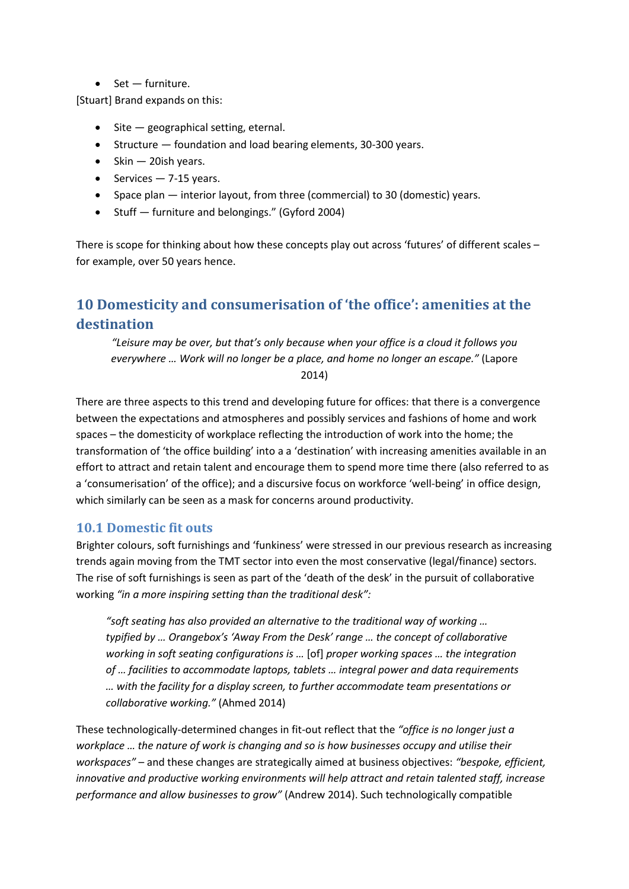• Set — furniture.

[Stuart] Brand expands on this:

- Site geographical setting, eternal.
- Structure foundation and load bearing elements, 30-300 years.
- Skin 20ish years.
- Services  $-7-15$  years.
- Space plan interior layout, from three (commercial) to 30 (domestic) years.
- Stuff furniture and belongings." (Gyford 2004)

There is scope for thinking about how these concepts play out across 'futures' of different scales – for example, over 50 years hence.

# <span id="page-17-0"></span>**10 Domesticity and consumerisation of 'the office': amenities at the destination**

*"Leisure may be over, but that's only because when your office is a cloud it follows you everywhere … Work will no longer be a place, and home no longer an escape."* (Lapore 2014)

There are three aspects to this trend and developing future for offices: that there is a convergence between the expectations and atmospheres and possibly services and fashions of home and work spaces – the domesticity of workplace reflecting the introduction of work into the home; the transformation of 'the office building' into a a 'destination' with increasing amenities available in an effort to attract and retain talent and encourage them to spend more time there (also referred to as a 'consumerisation' of the office); and a discursive focus on workforce 'well-being' in office design, which similarly can be seen as a mask for concerns around productivity.

### <span id="page-17-1"></span>**10.1 Domestic fit outs**

Brighter colours, soft furnishings and 'funkiness' were stressed in our previous research as increasing trends again moving from the TMT sector into even the most conservative (legal/finance) sectors. The rise of soft furnishings is seen as part of the 'death of the desk' in the pursuit of collaborative working *"in a more inspiring setting than the traditional desk":*

*"soft seating has also provided an alternative to the traditional way of working … typified by … Orangebox's 'Away From the Desk' range … the concept of collaborative working in soft seating configurations is …* [of] *proper working spaces … the integration of … facilities to accommodate laptops, tablets … integral power and data requirements … with the facility for a display screen, to further accommodate team presentations or collaborative working."* (Ahmed 2014)

These technologically-determined changes in fit-out reflect that the *"office is no longer just a workplace … the nature of work is changing and so is how businesses occupy and utilise their workspaces"* – and these changes are strategically aimed at business objectives: *"bespoke, efficient, innovative and productive working environments will help attract and retain talented staff, increase performance and allow businesses to grow"* (Andrew 2014). Such technologically compatible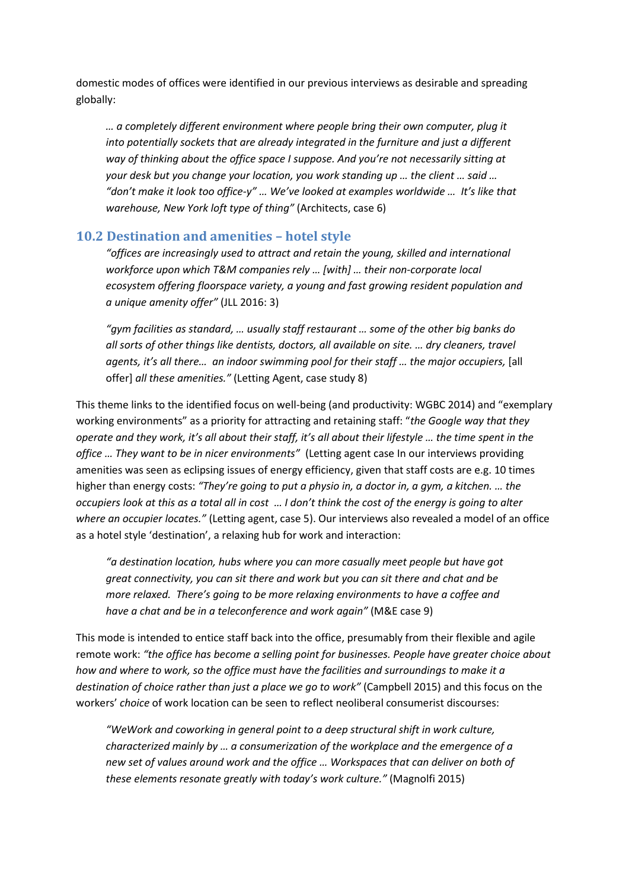domestic modes of offices were identified in our previous interviews as desirable and spreading globally:

*… a completely different environment where people bring their own computer, plug it into potentially sockets that are already integrated in the furniture and just a different way of thinking about the office space I suppose. And you're not necessarily sitting at your desk but you change your location, you work standing up … the client … said … "don't make it look too office-y" … We've looked at examples worldwide … It's like that warehouse, New York loft type of thing"* (Architects, case 6)

#### <span id="page-18-0"></span>**10.2 Destination and amenities – hotel style**

*"offices are increasingly used to attract and retain the young, skilled and international workforce upon which T&M companies rely … [with] … their non-corporate local ecosystem offering floorspace variety, a young and fast growing resident population and a unique amenity offer"* (JLL 2016: 3)

*"gym facilities as standard, … usually staff restaurant … some of the other big banks do all sorts of other things like dentists, doctors, all available on site. … dry cleaners, travel agents, it's all there… an indoor swimming pool for their staff … the major occupiers,* [all offer] *all these amenities."* (Letting Agent, case study 8)

This theme links to the identified focus on well-being (and productivity: WGBC 2014) and "exemplary working environments" as a priority for attracting and retaining staff: "*the Google way that they operate and they work, it's all about their staff, it's all about their lifestyle … the time spent in the office … They want to be in nicer environments"* (Letting agent case In our interviews providing amenities was seen as eclipsing issues of energy efficiency, given that staff costs are e.g. 10 times higher than energy costs: *"They're going to put a physio in, a doctor in, a gym, a kitchen. … the occupiers look at this as a total all in cost … I don't think the cost of the energy is going to alter where an occupier locates."* (Letting agent, case 5). Our interviews also revealed a model of an office as a hotel style 'destination', a relaxing hub for work and interaction:

*"a destination location, hubs where you can more casually meet people but have got great connectivity, you can sit there and work but you can sit there and chat and be more relaxed. There's going to be more relaxing environments to have a coffee and have a chat and be in a teleconference and work again"* (M&E case 9)

This mode is intended to entice staff back into the office, presumably from their flexible and agile remote work: *"the office has become a selling point for businesses. People have greater choice about how and where to work, so the office must have the facilities and surroundings to make it a destination of choice rather than just a place we go to work"* (Campbell 2015) and this focus on the workers' *choice* of work location can be seen to reflect neoliberal consumerist discourses:

*"WeWork and coworking in general point to a deep structural shift in work culture, characterized mainly by … a consumerization of the workplace and the emergence of a new set of values around work and the office … Workspaces that can deliver on both of these elements resonate greatly with today's work culture."* (Magnolfi 2015)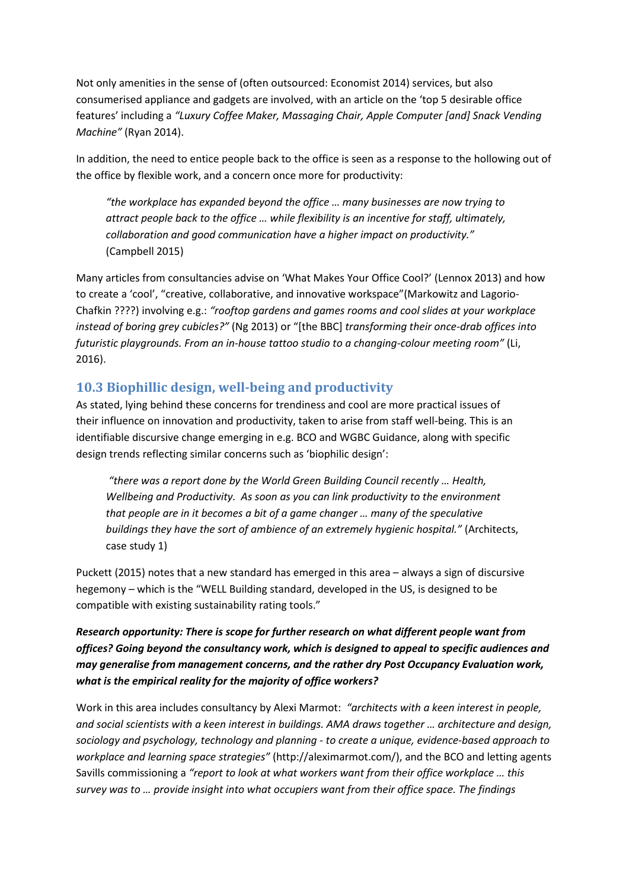Not only amenities in the sense of (often outsourced: Economist 2014) services, but also consumerised appliance and gadgets are involved, with an article on the 'top 5 desirable office features' including a *"Luxury Coffee Maker, Massaging Chair, Apple Computer [and] Snack Vending Machine"* (Ryan 2014).

In addition, the need to entice people back to the office is seen as a response to the hollowing out of the office by flexible work, and a concern once more for productivity:

*"the workplace has expanded beyond the office … many businesses are now trying to attract people back to the office … while flexibility is an incentive for staff, ultimately, collaboration and good communication have a higher impact on productivity."*  (Campbell 2015)

Many articles from consultancies advise on 'What Makes Your Office Cool?' (Lennox 2013) and how to create a 'cool', "creative, collaborative, and innovative workspace"(Markowitz and Lagorio-Chafkin ????) involving e.g.: *"rooftop gardens and games rooms and cool slides at your workplace instead of boring grey cubicles?"* (Ng 2013) or "[the BBC] *transforming their once-drab offices into futuristic playgrounds. From an in-house tattoo studio to a changing-colour meeting room"* (Li, 2016).

# <span id="page-19-0"></span>**10.3 Biophillic design, well-being and productivity**

As stated, lying behind these concerns for trendiness and cool are more practical issues of their influence on innovation and productivity, taken to arise from staff well-being. This is an identifiable discursive change emerging in e.g. BCO and WGBC Guidance, along with specific design trends reflecting similar concerns such as 'biophilic design':

*"there was a report done by the World Green Building Council recently … Health, Wellbeing and Productivity. As soon as you can link productivity to the environment that people are in it becomes a bit of a game changer … many of the speculative buildings they have the sort of ambience of an extremely hygienic hospital."* (Architects, case study 1)

Puckett (2015) notes that a new standard has emerged in this area – always a sign of discursive hegemony – which is the "WELL Building standard, developed in the US, is designed to be compatible with existing sustainability rating tools."

## *Research opportunity: There is scope for further research on what different people want from offices? Going beyond the consultancy work, which is designed to appeal to specific audiences and may generalise from management concerns, and the rather dry Post Occupancy Evaluation work, what is the empirical reality for the majority of office workers?*

Work in this area includes consultancy by Alexi Marmot: *"architects with a keen interest in people, and social scientists with a keen interest in buildings. AMA draws together … architecture and design, sociology and psychology, technology and planning - to create a unique, evidence-based approach to workplace and learning space strategies"* [\(http://aleximarmot.com/\)](http://aleximarmot.com/), and the BCO and letting agents Savills commissioning a *"report to look at what workers want from their office workplace … this survey was to … provide insight into what occupiers want from their office space. The findings*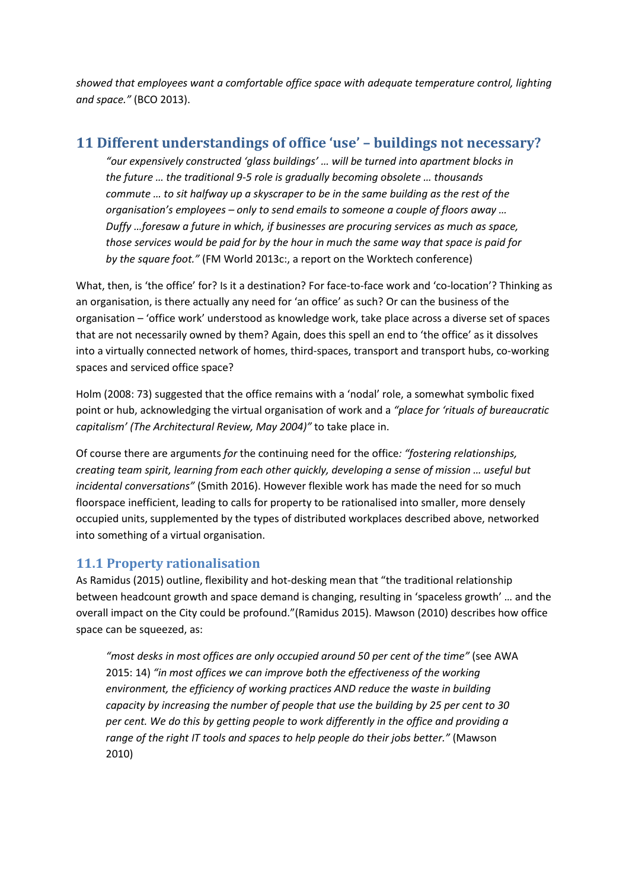*showed that employees want a comfortable office space with adequate temperature control, lighting and space."* (BCO 2013).

# <span id="page-20-0"></span>**11 Different understandings of office 'use' – buildings not necessary?**

*"our expensively constructed 'glass buildings' … will be turned into apartment blocks in the future … the traditional 9-5 role is gradually becoming obsolete … thousands commute … to sit halfway up a skyscraper to be in the same building as the rest of the organisation's employees – only to send emails to someone a couple of floors away … Duffy …foresaw a future in which, if businesses are procuring services as much as space, those services would be paid for by the hour in much the same way that space is paid for by the square foot."* (FM World 2013c:, a report on the Worktech conference)

What, then, is 'the office' for? Is it a destination? For face-to-face work and 'co-location'? Thinking as an organisation, is there actually any need for 'an office' as such? Or can the business of the organisation – 'office work' understood as knowledge work, take place across a diverse set of spaces that are not necessarily owned by them? Again, does this spell an end to 'the office' as it dissolves into a virtually connected network of homes, third-spaces, transport and transport hubs, co-working spaces and serviced office space?

Holm (2008: 73) suggested that the office remains with a 'nodal' role, a somewhat symbolic fixed point or hub, acknowledging the virtual organisation of work and a *"place for 'rituals of bureaucratic capitalism' (The Architectural Review, May 2004)"* to take place in.

Of course there are arguments *for* the continuing need for the office*: "fostering relationships, creating team spirit, learning from each other quickly, developing a sense of mission … useful but incidental conversations"* (Smith 2016). However flexible work has made the need for so much floorspace inefficient, leading to calls for property to be rationalised into smaller, more densely occupied units, supplemented by the types of distributed workplaces described above, networked into something of a virtual organisation.

# <span id="page-20-1"></span>**11.1 Property rationalisation**

As Ramidus (2015) outline, flexibility and hot-desking mean that "the traditional relationship between headcount growth and space demand is changing, resulting in 'spaceless growth' … and the overall impact on the City could be profound."(Ramidus 2015). Mawson (2010) describes how office space can be squeezed, as:

*"most desks in most offices are only occupied around 50 per cent of the time"* (see AWA 2015: 14) *"in most offices we can improve both the effectiveness of the working environment, the efficiency of working practices AND reduce the waste in building capacity by increasing the number of people that use the building by 25 per cent to 30 per cent. We do this by getting people to work differently in the office and providing a range of the right IT tools and spaces to help people do their jobs better."* (Mawson 2010)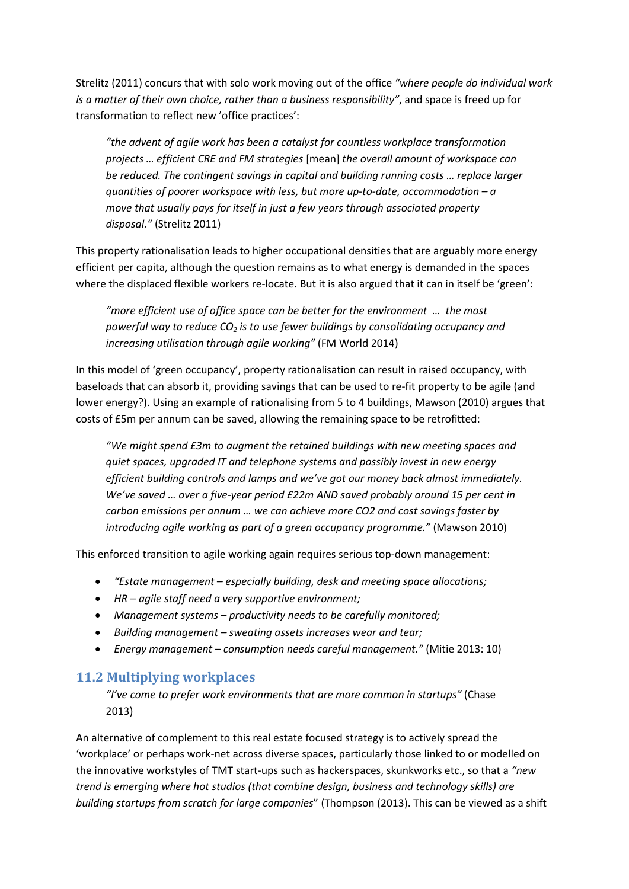Strelitz (2011) concurs that with solo work moving out of the office *"where people do individual work is a matter of their own choice, rather than a business responsibility"*, and space is freed up for transformation to reflect new 'office practices':

*"the advent of agile work has been a catalyst for countless workplace transformation projects … efficient CRE and FM strategies* [mean] *the overall amount of workspace can be reduced. The contingent savings in capital and building running costs … replace larger quantities of poorer workspace with less, but more up-to-date, accommodation – a move that usually pays for itself in just a few years through associated property disposal."* (Strelitz 2011)

This property rationalisation leads to higher occupational densities that are arguably more energy efficient per capita, although the question remains as to what energy is demanded in the spaces where the displaced flexible workers re-locate. But it is also argued that it can in itself be 'green':

*"more efficient use of office space can be better for the environment … the most powerful way to reduce CO2 is to use fewer buildings by consolidating occupancy and increasing utilisation through agile working"* (FM World 2014)

In this model of 'green occupancy', property rationalisation can result in raised occupancy, with baseloads that can absorb it, providing savings that can be used to re-fit property to be agile (and lower energy?). Using an example of rationalising from 5 to 4 buildings, Mawson (2010) argues that costs of £5m per annum can be saved, allowing the remaining space to be retrofitted:

*"We might spend £3m to augment the retained buildings with new meeting spaces and quiet spaces, upgraded IT and telephone systems and possibly invest in new energy efficient building controls and lamps and we've got our money back almost immediately. We've saved … over a five-year period £22m AND saved probably around 15 per cent in carbon emissions per annum … we can achieve more CO2 and cost savings faster by introducing agile working as part of a green occupancy programme."* (Mawson 2010)

This enforced transition to agile working again requires serious top-down management:

- *"Estate management – especially building, desk and meeting space allocations;*
- *HR – agile staff need a very supportive environment;*
- *Management systems – productivity needs to be carefully monitored;*
- *Building management – sweating assets increases wear and tear;*
- *Energy management – consumption needs careful management."* (Mitie 2013: 10)

#### <span id="page-21-0"></span>**11.2 Multiplying workplaces**

*"I've come to prefer work environments that are more common in startups"* (Chase 2013)

An alternative of complement to this real estate focused strategy is to actively spread the 'workplace' or perhaps work-net across diverse spaces, particularly those linked to or modelled on the innovative workstyles of TMT start-ups such as hackerspaces, skunkworks etc., so that a *"new trend is emerging where hot studios (that combine design, business and technology skills) are building startups from scratch for large companies*" (Thompson (2013). This can be viewed as a shift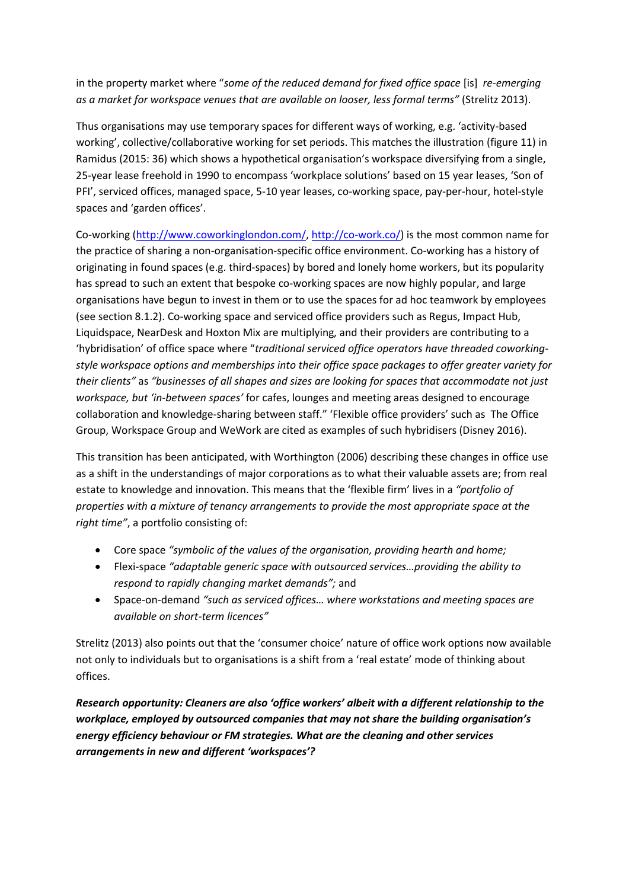in the property market where "*some of the reduced demand for fixed office space* [is] *re-emerging as a market for workspace venues that are available on looser, less formal terms"* (Strelitz 2013).

Thus organisations may use temporary spaces for different ways of working, e.g. 'activity-based working', collective/collaborative working for set periods. This matches the illustration (figure 11) in Ramidus (2015: 36) which shows a hypothetical organisation's workspace diversifying from a single, 25-year lease freehold in 1990 to encompass 'workplace solutions' based on 15 year leases, 'Son of PFI', serviced offices, managed space, 5-10 year leases, co-working space, pay-per-hour, hotel-style spaces and 'garden offices'.

Co-working [\(http://www.coworkinglondon.com/,](http://www.coworkinglondon.com/) [http://co-work.co/\)](http://co-work.co/) is the most common name for the practice of sharing a non-organisation-specific office environment. Co-working has a history of originating in found spaces (e.g. third-spaces) by bored and lonely home workers, but its popularity has spread to such an extent that bespoke co-working spaces are now highly popular, and large organisations have begun to invest in them or to use the spaces for ad hoc teamwork by employees (see section 8.1.2). Co-working space and serviced office providers such as Regus, Impact Hub, Liquidspace, NearDesk and Hoxton Mix are multiplying, and their providers are contributing to a 'hybridisation' of office space where "*traditional serviced office operators have threaded coworkingstyle workspace options and memberships into their office space packages to offer greater variety for their clients"* as *"businesses of all shapes and sizes are looking for spaces that accommodate not just workspace, but 'in-between spaces'* for cafes, lounges and meeting areas designed to encourage collaboration and knowledge-sharing between staff." 'Flexible office providers' such as The Office Group, Workspace Group and WeWork are cited as examples of such hybridisers (Disney 2016).

This transition has been anticipated, with Worthington (2006) describing these changes in office use as a shift in the understandings of major corporations as to what their valuable assets are; from real estate to knowledge and innovation. This means that the 'flexible firm' lives in a *"portfolio of properties with a mixture of tenancy arrangements to provide the most appropriate space at the right time"*, a portfolio consisting of:

- Core space *"symbolic of the values of the organisation, providing hearth and home;*
- Flexi-space *"adaptable generic space with outsourced services…providing the ability to respond to rapidly changing market demands";* and
- Space-on-demand *"such as serviced offices… where workstations and meeting spaces are available on short-term licences"*

Strelitz (2013) also points out that the 'consumer choice' nature of office work options now available not only to individuals but to organisations is a shift from a 'real estate' mode of thinking about offices.

*Research opportunity: Cleaners are also 'office workers' albeit with a different relationship to the workplace, employed by outsourced companies that may not share the building organisation's energy efficiency behaviour or FM strategies. What are the cleaning and other services arrangements in new and different 'workspaces'?*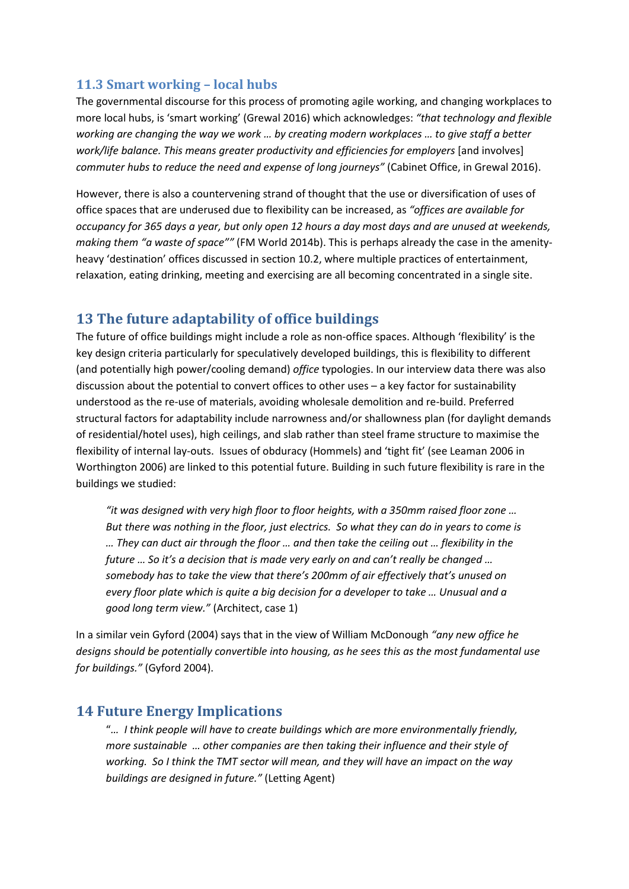### <span id="page-23-0"></span>**11.3 Smart working – local hubs**

The governmental discourse for this process of promoting agile working, and changing workplaces to more local hubs, is 'smart working' (Grewal 2016) which acknowledges: *"that technology and flexible working are changing the way we work … by creating modern workplaces … to give staff a better work/life balance. This means greater productivity and efficiencies for employers* [and involves] *commuter hubs to reduce the need and expense of long journeys"* (Cabinet Office, in Grewal 2016).

However, there is also a countervening strand of thought that the use or diversification of uses of office spaces that are underused due to flexibility can be increased, as *"offices are available for occupancy for 365 days a year, but only open 12 hours a day most days and are unused at weekends, making them "a waste of space""* (FM World 2014b). This is perhaps already the case in the amenityheavy 'destination' offices discussed in section 10.2, where multiple practices of entertainment, relaxation, eating drinking, meeting and exercising are all becoming concentrated in a single site.

# <span id="page-23-1"></span>**13 The future adaptability of office buildings**

The future of office buildings might include a role as non-office spaces. Although 'flexibility' is the key design criteria particularly for speculatively developed buildings, this is flexibility to different (and potentially high power/cooling demand) *office* typologies. In our interview data there was also discussion about the potential to convert offices to other uses – a key factor for sustainability understood as the re-use of materials, avoiding wholesale demolition and re-build. Preferred structural factors for adaptability include narrowness and/or shallowness plan (for daylight demands of residential/hotel uses), high ceilings, and slab rather than steel frame structure to maximise the flexibility of internal lay-outs. Issues of obduracy (Hommels) and 'tight fit' (see Leaman 2006 in Worthington 2006) are linked to this potential future. Building in such future flexibility is rare in the buildings we studied:

*"it was designed with very high floor to floor heights, with a 350mm raised floor zone … But there was nothing in the floor, just electrics. So what they can do in years to come is … They can duct air through the floor … and then take the ceiling out … flexibility in the future … So it's a decision that is made very early on and can't really be changed … somebody has to take the view that there's 200mm of air effectively that's unused on every floor plate which is quite a big decision for a developer to take … Unusual and a good long term view."* (Architect, case 1)

In a similar vein Gyford (2004) says that in the view of William McDonough *"any new office he designs should be potentially convertible into housing, as he sees this as the most fundamental use for buildings."* (Gyford 2004).

# <span id="page-23-2"></span>**14 Future Energy Implications**

"*… I think people will have to create buildings which are more environmentally friendly, more sustainable … other companies are then taking their influence and their style of working. So I think the TMT sector will mean, and they will have an impact on the way buildings are designed in future."* (Letting Agent)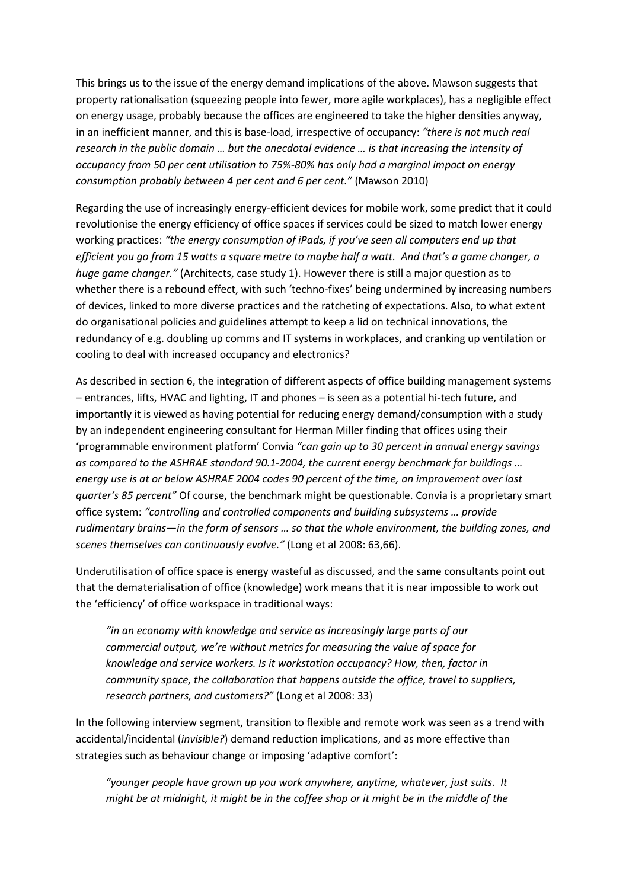This brings us to the issue of the energy demand implications of the above. Mawson suggests that property rationalisation (squeezing people into fewer, more agile workplaces), has a negligible effect on energy usage, probably because the offices are engineered to take the higher densities anyway, in an inefficient manner, and this is base-load, irrespective of occupancy: *"there is not much real research in the public domain … but the anecdotal evidence … is that increasing the intensity of occupancy from 50 per cent utilisation to 75%-80% has only had a marginal impact on energy consumption probably between 4 per cent and 6 per cent."* (Mawson 2010)

Regarding the use of increasingly energy-efficient devices for mobile work, some predict that it could revolutionise the energy efficiency of office spaces if services could be sized to match lower energy working practices: *"the energy consumption of iPads, if you've seen all computers end up that efficient you go from 15 watts a square metre to maybe half a watt. And that's a game changer, a huge game changer."* (Architects, case study 1). However there is still a major question as to whether there is a rebound effect, with such 'techno-fixes' being undermined by increasing numbers of devices, linked to more diverse practices and the ratcheting of expectations. Also, to what extent do organisational policies and guidelines attempt to keep a lid on technical innovations, the redundancy of e.g. doubling up comms and IT systems in workplaces, and cranking up ventilation or cooling to deal with increased occupancy and electronics?

As described in section 6, the integration of different aspects of office building management systems – entrances, lifts, HVAC and lighting, IT and phones – is seen as a potential hi-tech future, and importantly it is viewed as having potential for reducing energy demand/consumption with a study by an independent engineering consultant for Herman Miller finding that offices using their 'programmable environment platform' Convia *"can gain up to 30 percent in annual energy savings as compared to the ASHRAE standard 90.1-2004, the current energy benchmark for buildings … energy use is at or below ASHRAE 2004 codes 90 percent of the time, an improvement over last quarter's 85 percent"* Of course, the benchmark might be questionable. Convia is a proprietary smart office system: *"controlling and controlled components and building subsystems … provide rudimentary brains—in the form of sensors … so that the whole environment, the building zones, and scenes themselves can continuously evolve."* (Long et al 2008: 63,66).

Underutilisation of office space is energy wasteful as discussed, and the same consultants point out that the dematerialisation of office (knowledge) work means that it is near impossible to work out the 'efficiency' of office workspace in traditional ways:

*"in an economy with knowledge and service as increasingly large parts of our commercial output, we're without metrics for measuring the value of space for knowledge and service workers. Is it workstation occupancy? How, then, factor in community space, the collaboration that happens outside the office, travel to suppliers, research partners, and customers?"* (Long et al 2008: 33)

In the following interview segment, transition to flexible and remote work was seen as a trend with accidental/incidental (*invisible?*) demand reduction implications, and as more effective than strategies such as behaviour change or imposing 'adaptive comfort':

*"younger people have grown up you work anywhere, anytime, whatever, just suits. It might be at midnight, it might be in the coffee shop or it might be in the middle of the*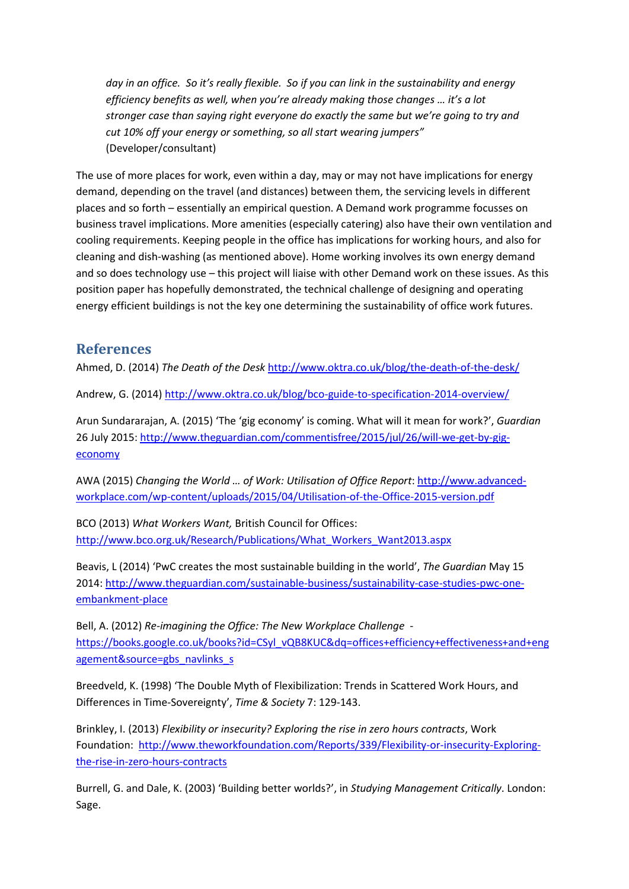*day in an office. So it's really flexible. So if you can link in the sustainability and energy efficiency benefits as well, when you're already making those changes … it's a lot stronger case than saying right everyone do exactly the same but we're going to try and cut 10% off your energy or something, so all start wearing jumpers"* (Developer/consultant)

The use of more places for work, even within a day, may or may not have implications for energy demand, depending on the travel (and distances) between them, the servicing levels in different places and so forth – essentially an empirical question. A Demand work programme focusses on business travel implications. More amenities (especially catering) also have their own ventilation and cooling requirements. Keeping people in the office has implications for working hours, and also for cleaning and dish-washing (as mentioned above). Home working involves its own energy demand and so does technology use – this project will liaise with other Demand work on these issues. As this position paper has hopefully demonstrated, the technical challenge of designing and operating energy efficient buildings is not the key one determining the sustainability of office work futures.

## <span id="page-25-0"></span>**References**

Ahmed, D. (2014) *The Death of the Desk* <http://www.oktra.co.uk/blog/the-death-of-the-desk/>

Andrew, G. (2014)<http://www.oktra.co.uk/blog/bco-guide-to-specification-2014-overview/>

Arun Sundararajan, A. (2015) 'The 'gig economy' is coming. What will it mean for work?', *Guardian*  26 July 2015[: http://www.theguardian.com/commentisfree/2015/jul/26/will-we-get-by-gig](http://www.theguardian.com/commentisfree/2015/jul/26/will-we-get-by-gig-economy)[economy](http://www.theguardian.com/commentisfree/2015/jul/26/will-we-get-by-gig-economy)

AWA (2015) *Changing the World … of Work: Utilisation of Office Report*: [http://www.advanced](http://www.advanced-workplace.com/wp-content/uploads/2015/04/Utilisation-of-the-Office-2015-version.pdf)[workplace.com/wp-content/uploads/2015/04/Utilisation-of-the-Office-2015-version.pdf](http://www.advanced-workplace.com/wp-content/uploads/2015/04/Utilisation-of-the-Office-2015-version.pdf)

BCO (2013) *What Workers Want,* British Council for Offices: [http://www.bco.org.uk/Research/Publications/What\\_Workers\\_Want2013.aspx](http://www.bco.org.uk/Research/Publications/What_Workers_Want2013.aspx)

Beavis, L (2014) 'PwC creates the most sustainable building in the world', *The Guardian* May 15 2014[: http://www.theguardian.com/sustainable-business/sustainability-case-studies-pwc-one](http://www.theguardian.com/sustainable-business/sustainability-case-studies-pwc-one-embankment-place)[embankment-place](http://www.theguardian.com/sustainable-business/sustainability-case-studies-pwc-one-embankment-place)

Bell, A. (2012) *Re-imagining the Office: The New Workplace Challenge*  [https://books.google.co.uk/books?id=CSyl\\_vQB8KUC&dq=offices+efficiency+effectiveness+and+eng](https://books.google.co.uk/books?id=CSyl_vQB8KUC&dq=offices+efficiency+effectiveness+and+engagement&source=gbs_navlinks_s) [agement&source=gbs\\_navlinks\\_s](https://books.google.co.uk/books?id=CSyl_vQB8KUC&dq=offices+efficiency+effectiveness+and+engagement&source=gbs_navlinks_s)

Breedveld, K. (1998) 'The Double Myth of Flexibilization: Trends in Scattered Work Hours, and Differences in Time-Sovereignty', *Time & Society* 7: 129-143.

Brinkley, I. (2013) *Flexibility or insecurity? Exploring the rise in zero hours contracts*, Work Foundation: [http://www.theworkfoundation.com/Reports/339/Flexibility-or-insecurity-Exploring](http://www.theworkfoundation.com/Reports/339/Flexibility-or-insecurity-Exploring-the-rise-in-zero-hours-contracts)[the-rise-in-zero-hours-contracts](http://www.theworkfoundation.com/Reports/339/Flexibility-or-insecurity-Exploring-the-rise-in-zero-hours-contracts)

Burrell, G. and Dale, K. (2003) 'Building better worlds?', in *Studying Management Critically*. London: Sage.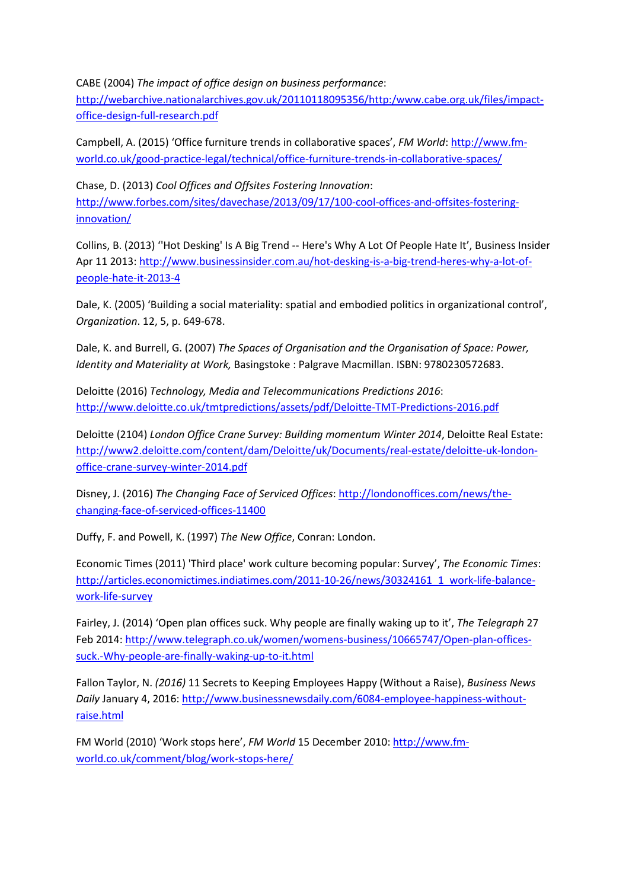CABE (2004) *The impact of office design on business performance*:

[http://webarchive.nationalarchives.gov.uk/20110118095356/http:/www.cabe.org.uk/files/impact](http://webarchive.nationalarchives.gov.uk/20110118095356/http:/www.cabe.org.uk/files/impact-office-design-full-research.pdf)[office-design-full-research.pdf](http://webarchive.nationalarchives.gov.uk/20110118095356/http:/www.cabe.org.uk/files/impact-office-design-full-research.pdf)

Campbell, A. (2015) 'Office furniture trends in collaborative spaces', *FM World*: [http://www.fm](http://www.fm-world.co.uk/good-practice-legal/technical/office-furniture-trends-in-collaborative-spaces/)[world.co.uk/good-practice-legal/technical/office-furniture-trends-in-collaborative-spaces/](http://www.fm-world.co.uk/good-practice-legal/technical/office-furniture-trends-in-collaborative-spaces/)

Chase, D. (2013) *Cool Offices and Offsites Fostering Innovation*: [http://www.forbes.com/sites/davechase/2013/09/17/100-cool-offices-and-offsites-fostering](http://www.forbes.com/sites/davechase/2013/09/17/100-cool-offices-and-offsites-fostering-innovation/)[innovation/](http://www.forbes.com/sites/davechase/2013/09/17/100-cool-offices-and-offsites-fostering-innovation/)

Collins, B. (2013) ''Hot Desking' Is A Big Trend -- Here's Why A Lot Of People Hate It', Business Insider Apr 11 2013: [http://www.businessinsider.com.au/hot-desking-is-a-big-trend-heres-why-a-lot-of](http://www.businessinsider.com.au/hot-desking-is-a-big-trend-heres-why-a-lot-of-people-hate-it-2013-4)[people-hate-it-2013-4](http://www.businessinsider.com.au/hot-desking-is-a-big-trend-heres-why-a-lot-of-people-hate-it-2013-4)

Dale, K. (2005) 'Building a social materiality: spatial and embodied politics in organizational control', *Organization*. 12, 5, p. 649-678.

Dale, K. and Burrell, G. (2007) *The Spaces of Organisation and the Organisation of Space: Power, Identity and Materiality at Work,* Basingstoke : Palgrave Macmillan. ISBN: 9780230572683.

Deloitte (2016) *Technology, Media and Telecommunications Predictions 2016*: <http://www.deloitte.co.uk/tmtpredictions/assets/pdf/Deloitte-TMT-Predictions-2016.pdf>

Deloitte (2104) *London Office Crane Survey: Building momentum Winter 2014*, Deloitte Real Estate: [http://www2.deloitte.com/content/dam/Deloitte/uk/Documents/real-estate/deloitte-uk-london](http://www2.deloitte.com/content/dam/Deloitte/uk/Documents/real-estate/deloitte-uk-london-office-crane-survey-winter-2014.pdf)[office-crane-survey-winter-2014.pdf](http://www2.deloitte.com/content/dam/Deloitte/uk/Documents/real-estate/deloitte-uk-london-office-crane-survey-winter-2014.pdf)

Disney, J. (2016) *The Changing Face of Serviced Offices*[: http://londonoffices.com/news/the](http://londonoffices.com/news/the-changing-face-of-serviced-offices-11400)[changing-face-of-serviced-offices-11400](http://londonoffices.com/news/the-changing-face-of-serviced-offices-11400)

Duffy, F. and Powell, K. (1997) *The New Office*, Conran: London.

Economic Times (2011) 'Third place' work culture becoming popular: Survey', *The Economic Times*: [http://articles.economictimes.indiatimes.com/2011-10-26/news/30324161\\_1\\_work-life-balance](http://articles.economictimes.indiatimes.com/2011-10-26/news/30324161_1_work-life-balance-work-life-survey)[work-life-survey](http://articles.economictimes.indiatimes.com/2011-10-26/news/30324161_1_work-life-balance-work-life-survey)

Fairley, J. (2014) 'Open plan offices suck. Why people are finally waking up to it', *The Telegraph* 27 Feb 2014[: http://www.telegraph.co.uk/women/womens-business/10665747/Open-plan-offices](http://www.telegraph.co.uk/women/womens-business/10665747/Open-plan-offices-suck.-Why-people-are-finally-waking-up-to-it.html)[suck.-Why-people-are-finally-waking-up-to-it.html](http://www.telegraph.co.uk/women/womens-business/10665747/Open-plan-offices-suck.-Why-people-are-finally-waking-up-to-it.html)

Fallon Taylor, N. *(2016)* 11 Secrets to Keeping Employees Happy (Without a Raise), *Business News Daily* January 4, 2016: [http://www.businessnewsdaily.com/6084-employee-happiness-without](http://www.businessnewsdaily.com/6084-employee-happiness-without-raise.html)[raise.html](http://www.businessnewsdaily.com/6084-employee-happiness-without-raise.html)

FM World (2010) 'Work stops here', *FM World* 15 December 2010: [http://www.fm](http://www.fm-world.co.uk/comment/blog/work-stops-here/)[world.co.uk/comment/blog/work-stops-here/](http://www.fm-world.co.uk/comment/blog/work-stops-here/)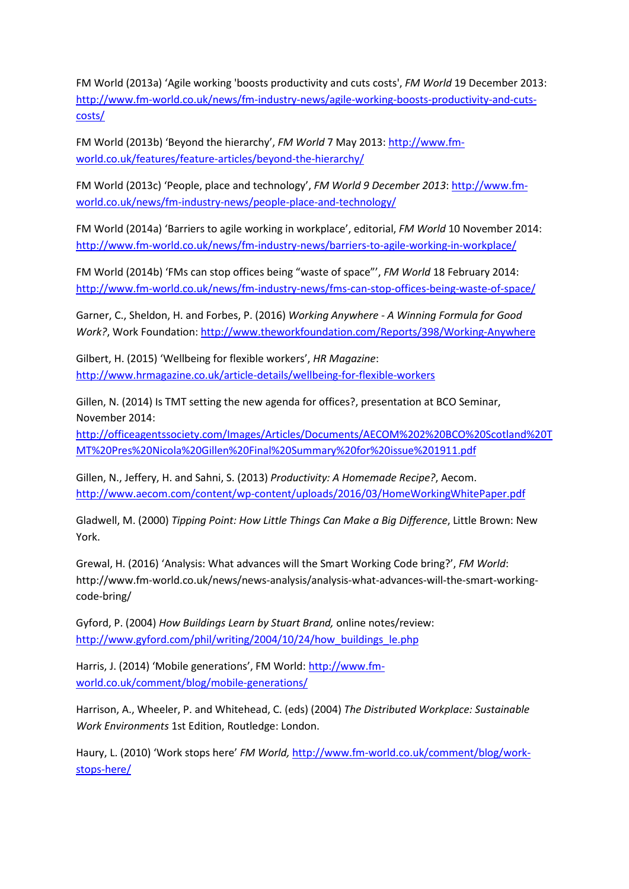FM World (2013a) 'Agile working 'boosts productivity and cuts costs', *FM World* 19 December 2013: [http://www.fm-world.co.uk/news/fm-industry-news/agile-working-boosts-productivity-and-cuts](http://www.fm-world.co.uk/news/fm-industry-news/agile-working-boosts-productivity-and-cuts-costs/)[costs/](http://www.fm-world.co.uk/news/fm-industry-news/agile-working-boosts-productivity-and-cuts-costs/) 

FM World (2013b) 'Beyond the hierarchy', *FM World* 7 May 2013[: http://www.fm](http://www.fm-world.co.uk/features/feature-articles/beyond-the-hierarchy/)[world.co.uk/features/feature-articles/beyond-the-hierarchy/](http://www.fm-world.co.uk/features/feature-articles/beyond-the-hierarchy/)

FM World (2013c) 'People, place and technology', *FM World 9 December 2013*[: http://www.fm](http://www.fm-world.co.uk/news/fm-industry-news/people-place-and-technology/)[world.co.uk/news/fm-industry-news/people-place-and-technology/](http://www.fm-world.co.uk/news/fm-industry-news/people-place-and-technology/)

FM World (2014a) 'Barriers to agile working in workplace', editorial, *FM World* 10 November 2014: <http://www.fm-world.co.uk/news/fm-industry-news/barriers-to-agile-working-in-workplace/>

FM World (2014b) 'FMs can stop offices being "waste of space"', *FM World* 18 February 2014: <http://www.fm-world.co.uk/news/fm-industry-news/fms-can-stop-offices-being-waste-of-space/>

Garner, C., Sheldon, H. and Forbes, P. (2016) *Working Anywhere - A Winning Formula for Good Work?*, Work Foundation:<http://www.theworkfoundation.com/Reports/398/Working-Anywhere>

Gilbert, H. (2015) 'Wellbeing for flexible workers', *HR Magazine*: <http://www.hrmagazine.co.uk/article-details/wellbeing-for-flexible-workers>

Gillen, N. (2014) Is TMT setting the new agenda for offices?, presentation at BCO Seminar, November 2014:

[http://officeagentssociety.com/Images/Articles/Documents/AECOM%202%20BCO%20Scotland%20T](http://officeagentssociety.com/Images/Articles/Documents/AECOM%202%20BCO%20Scotland%20TMT%20Pres%20Nicola%20Gillen%20Final%20Summary%20for%20issue%201911.pdf) [MT%20Pres%20Nicola%20Gillen%20Final%20Summary%20for%20issue%201911.pdf](http://officeagentssociety.com/Images/Articles/Documents/AECOM%202%20BCO%20Scotland%20TMT%20Pres%20Nicola%20Gillen%20Final%20Summary%20for%20issue%201911.pdf)

Gillen, N., Jeffery, H. and Sahni, S. (2013) *Productivity: A Homemade Recipe?*, Aecom. <http://www.aecom.com/content/wp-content/uploads/2016/03/HomeWorkingWhitePaper.pdf>

Gladwell, M. (2000) *Tipping Point: How Little Things Can Make a Big Difference*, Little Brown: New York.

Grewal, H. (2016) 'Analysis: What advances will the Smart Working Code bring?', *FM World*: http://www.fm-world.co.uk/news/news-analysis/analysis-what-advances-will-the-smart-workingcode-bring/

Gyford, P. (2004) *How Buildings Learn by Stuart Brand,* online notes/review: [http://www.gyford.com/phil/writing/2004/10/24/how\\_buildings\\_le.php](http://www.gyford.com/phil/writing/2004/10/24/how_buildings_le.php)

Harris, J. (2014) 'Mobile generations', FM World: [http://www.fm](http://www.fm-world.co.uk/comment/blog/mobile-generations/)[world.co.uk/comment/blog/mobile-generations/](http://www.fm-world.co.uk/comment/blog/mobile-generations/)

Harrison, A., Wheeler, P. and Whitehead, C. (eds) (2004) *The Distributed Workplace: Sustainable Work Environments* 1st Edition, Routledge: London.

Haury, L. (2010) 'Work stops here' *FM World,* [http://www.fm-world.co.uk/comment/blog/work](http://www.fm-world.co.uk/comment/blog/work-stops-here/)[stops-here/](http://www.fm-world.co.uk/comment/blog/work-stops-here/)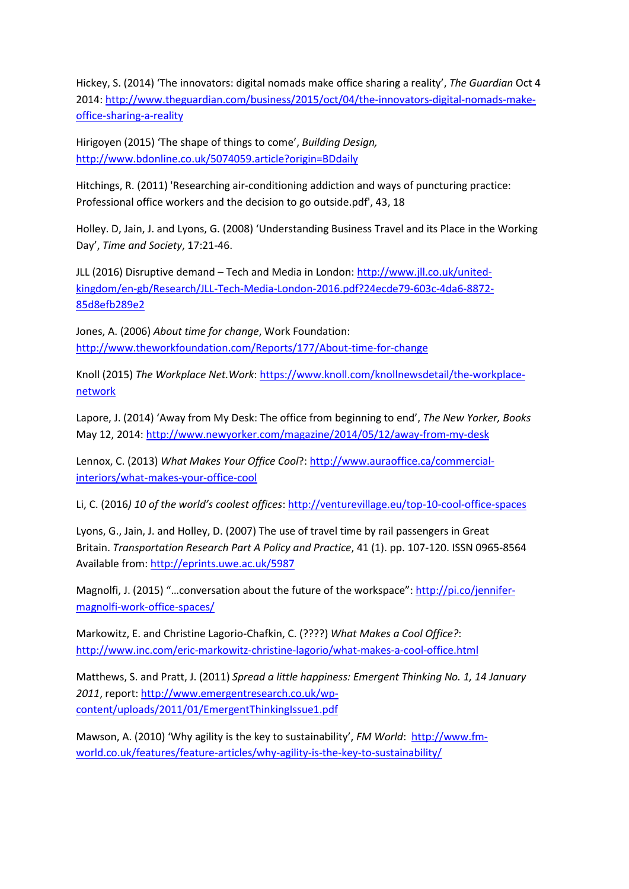Hickey, S. (2014) 'The innovators: digital nomads make office sharing a reality', *The Guardian* Oct 4 2014[: http://www.theguardian.com/business/2015/oct/04/the-innovators-digital-nomads-make](http://www.theguardian.com/business/2015/oct/04/the-innovators-digital-nomads-make-office-sharing-a-reality)[office-sharing-a-reality](http://www.theguardian.com/business/2015/oct/04/the-innovators-digital-nomads-make-office-sharing-a-reality)

Hirigoyen (2015) 'The shape of things to come', *Building Design,*  <http://www.bdonline.co.uk/5074059.article?origin=BDdaily>

Hitchings, R. (2011) 'Researching air-conditioning addiction and ways of puncturing practice: Professional office workers and the decision to go outside.pdf', 43, 18

Holley. D, Jain, J. and Lyons, G. (2008) 'Understanding Business Travel and its Place in the Working Day', *Time and Society*, 17:21-46.

JLL (2016) Disruptive demand – Tech and Media in London: [http://www.jll.co.uk/united](http://www.jll.co.uk/united-kingdom/en-gb/Research/JLL-Tech-Media-London-2016.pdf?24ecde79-603c-4da6-8872-85d8efb289e2)[kingdom/en-gb/Research/JLL-Tech-Media-London-2016.pdf?24ecde79-603c-4da6-8872-](http://www.jll.co.uk/united-kingdom/en-gb/Research/JLL-Tech-Media-London-2016.pdf?24ecde79-603c-4da6-8872-85d8efb289e2) [85d8efb289e2](http://www.jll.co.uk/united-kingdom/en-gb/Research/JLL-Tech-Media-London-2016.pdf?24ecde79-603c-4da6-8872-85d8efb289e2)

Jones, A. (2006) *About time for change*, Work Foundation: <http://www.theworkfoundation.com/Reports/177/About-time-for-change>

Knoll (2015) *The Workplace Net.Work*: [https://www.knoll.com/knollnewsdetail/the-workplace](https://www.knoll.com/knollnewsdetail/the-workplace-network)[network](https://www.knoll.com/knollnewsdetail/the-workplace-network)

Lapore, J. (2014) 'Away from My Desk: The office from beginning to end', *The New Yorker, Books* May 12, 2014:<http://www.newyorker.com/magazine/2014/05/12/away-from-my-desk>

Lennox, C. (2013) *What Makes Your Office Cool*?: [http://www.auraoffice.ca/commercial](http://www.auraoffice.ca/commercial-interiors/what-makes-your-office-cool)[interiors/what-makes-your-office-cool](http://www.auraoffice.ca/commercial-interiors/what-makes-your-office-cool)

Li, C. (2016*) 10 of the world's coolest offices*[: http://venturevillage.eu/top-10-cool-office-spaces](http://venturevillage.eu/top-10-cool-office-spaces)

Lyons, G., Jain, J. and Holley, D. (2007) The use of travel time by rail passengers in Great Britain. *Transportation Research Part A Policy and Practice*, 41 (1). pp. 107-120. ISSN 0965-8564 Available from:<http://eprints.uwe.ac.uk/5987>

Magnolfi, J. (2015) "…conversation about the future of the workspace"[: http://pi.co/jennifer](http://pi.co/jennifer-magnolfi-work-office-spaces/)[magnolfi-work-office-spaces/](http://pi.co/jennifer-magnolfi-work-office-spaces/)

Markowitz, E. and Christine Lagorio-Chafkin, C. (????) *What Makes a Cool Office?*: <http://www.inc.com/eric-markowitz-christine-lagorio/what-makes-a-cool-office.html>

Matthews, S. and Pratt, J. (2011) *Spread a little happiness: Emergent Thinking No. 1, 14 January 2011*, report[: http://www.emergentresearch.co.uk/wp](http://www.emergentresearch.co.uk/wp-content/uploads/2011/01/EmergentThinkingIssue1.pdf)[content/uploads/2011/01/EmergentThinkingIssue1.pdf](http://www.emergentresearch.co.uk/wp-content/uploads/2011/01/EmergentThinkingIssue1.pdf)

Mawson, A. (2010) 'Why agility is the key to sustainability', *FM World*: [http://www.fm](http://www.fm-world.co.uk/features/feature-articles/why-agility-is-the-key-to-sustainability/)[world.co.uk/features/feature-articles/why-agility-is-the-key-to-sustainability/](http://www.fm-world.co.uk/features/feature-articles/why-agility-is-the-key-to-sustainability/)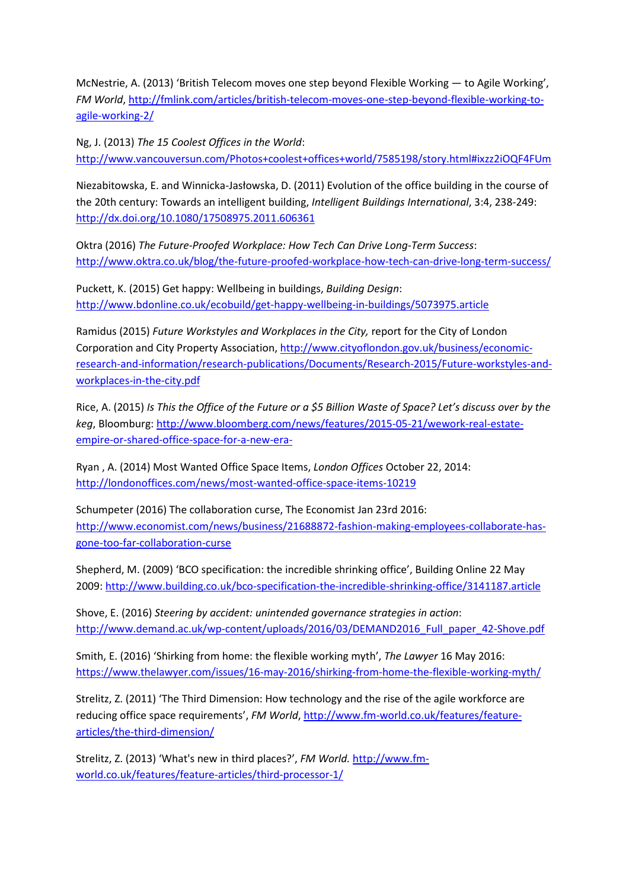McNestrie, A. (2013) 'British Telecom moves one step beyond Flexible Working — to Agile Working', *FM World*[, http://fmlink.com/articles/british-telecom-moves-one-step-beyond-flexible-working-to](http://fmlink.com/articles/british-telecom-moves-one-step-beyond-flexible-working-to-agile-working-2/)[agile-working-2/](http://fmlink.com/articles/british-telecom-moves-one-step-beyond-flexible-working-to-agile-working-2/)

Ng, J. (2013) *The 15 Coolest Offices in the World*: <http://www.vancouversun.com/Photos+coolest+offices+world/7585198/story.html#ixzz2iOQF4FUm>

Niezabitowska, E. and Winnicka-Jasłowska, D. (2011) Evolution of the office building in the course of the 20th century: Towards an intelligent building, *Intelligent Buildings International*, 3:4, 238-249: <http://dx.doi.org/10.1080/17508975.2011.606361>

Oktra (2016) *The Future-Proofed Workplace: How Tech Can Drive Long-Term Success*: <http://www.oktra.co.uk/blog/the-future-proofed-workplace-how-tech-can-drive-long-term-success/>

Puckett, K. (2015) Get happy: Wellbeing in buildings, *Building Design*: <http://www.bdonline.co.uk/ecobuild/get-happy-wellbeing-in-buildings/5073975.article>

Ramidus (2015) *Future Workstyles and Workplaces in the City,* report for the City of London Corporation and City Property Association, [http://www.cityoflondon.gov.uk/business/economic](http://www.cityoflondon.gov.uk/business/economic-research-and-information/research-publications/Documents/Research-2015/Future-workstyles-and-workplaces-in-the-city.pdf)[research-and-information/research-publications/Documents/Research-2015/Future-workstyles-and](http://www.cityoflondon.gov.uk/business/economic-research-and-information/research-publications/Documents/Research-2015/Future-workstyles-and-workplaces-in-the-city.pdf)[workplaces-in-the-city.pdf](http://www.cityoflondon.gov.uk/business/economic-research-and-information/research-publications/Documents/Research-2015/Future-workstyles-and-workplaces-in-the-city.pdf)

Rice, A. (2015) *Is This the Office of the Future or a \$5 Billion Waste of Space? Let's discuss over by the keg*, Bloomburg: [http://www.bloomberg.com/news/features/2015-05-21/wework-real-estate](http://www.bloomberg.com/news/features/2015-05-21/wework-real-estate-empire-or-shared-office-space-for-a-new-era-)[empire-or-shared-office-space-for-a-new-era-](http://www.bloomberg.com/news/features/2015-05-21/wework-real-estate-empire-or-shared-office-space-for-a-new-era-)

Ryan , A. (2014) Most Wanted Office Space Items, *London Offices* October 22, 2014: <http://londonoffices.com/news/most-wanted-office-space-items-10219>

Schumpeter (2016) The collaboration curse, The Economist Jan 23rd 2016: [http://www.economist.com/news/business/21688872-fashion-making-employees-collaborate-has](http://www.economist.com/news/business/21688872-fashion-making-employees-collaborate-has-gone-too-far-collaboration-curse)[gone-too-far-collaboration-curse](http://www.economist.com/news/business/21688872-fashion-making-employees-collaborate-has-gone-too-far-collaboration-curse)

Shepherd, M. (2009) 'BCO specification: the incredible shrinking office', Building Online 22 May 2009[: http://www.building.co.uk/bco-specification-the-incredible-shrinking-office/3141187.article](http://www.building.co.uk/bco-specification-the-incredible-shrinking-office/3141187.article)

Shove, E. (2016) *Steering by accident: unintended governance strategies in action*: [http://www.demand.ac.uk/wp-content/uploads/2016/03/DEMAND2016\\_Full\\_paper\\_42-Shove.pdf](http://www.demand.ac.uk/wp-content/uploads/2016/03/DEMAND2016_Full_paper_42-Shove.pdf)

Smith, E. (2016) 'Shirking from home: the flexible working myth', *The Lawyer* 16 May 2016: <https://www.thelawyer.com/issues/16-may-2016/shirking-from-home-the-flexible-working-myth/>

Strelitz, Z. (2011) 'The Third Dimension: How technology and the rise of the agile workforce are reducing office space requirements', *FM World*, [http://www.fm-world.co.uk/features/feature](http://www.fm-world.co.uk/features/feature-articles/the-third-dimension/)[articles/the-third-dimension/](http://www.fm-world.co.uk/features/feature-articles/the-third-dimension/)

Strelitz, Z. (2013) 'What's new in third places?', *FM World.* [http://www.fm](http://www.fm-world.co.uk/features/feature-articles/third-processor-1/)[world.co.uk/features/feature-articles/third-processor-1/](http://www.fm-world.co.uk/features/feature-articles/third-processor-1/)